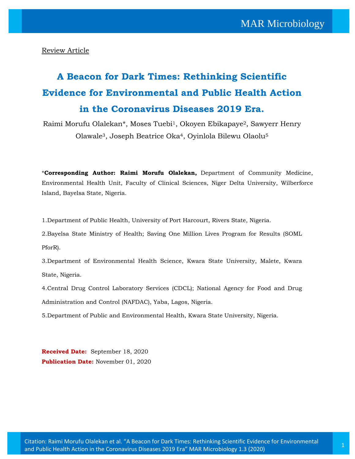Review Article

# **A Beacon for Dark Times: Rethinking Scientific Evidence for Environmental and Public Health Action in the Coronavirus Diseases 2019 Era.**

Raimi Morufu Olalekan\*, Moses Tuebi1, Okoyen Ebikapaye2, Sawyerr Henry Olawale3, Joseph Beatrice Oka4, Oyinlola Bilewu Olaolu<sup>5</sup>

\***Corresponding Author: Raimi Morufu Olalekan,** Department of Community Medicine, Environmental Health Unit, Faculty of Clinical Sciences, Niger Delta University, Wilberforce Island, Bayelsa State, Nigeria.

1.Department of Public Health, University of Port Harcourt, Rivers State, Nigeria.

2.Bayelsa State Ministry of Health; Saving One Million Lives Program for Results (SOML PforR).

3.Department of Environmental Health Science, Kwara State University, Malete, Kwara State, Nigeria.

4.Central Drug Control Laboratory Services (CDCL); National Agency for Food and Drug Administration and Control (NAFDAC), Yaba, Lagos, Nigeria.

5.Department of Public and Environmental Health, Kwara State University, Nigeria.

**Received Date:** September 18, 2020 **Publication Date:** November 01, 2020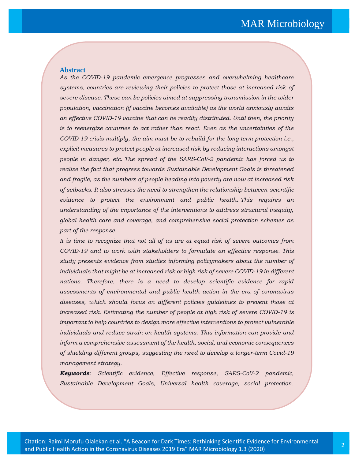#### **Abstract**

*schemes.*

*As the COVID-19 pandemic emergence progresses and overwhelming healthcare systems, countries are reviewing their policies to protect those at increased risk of severe disease. These can be policies aimed at suppressing transmission in the wider population, vaccination (if vaccine becomes available) as the world anxiously awaits an effective COVID-19 vaccine that can be readily distributed. Until then, the priority is to reenergize countries to act rather than react. Even as the uncertainties of the COVID-19 crisis multiply, the aim must be to rebuild for the long-term protection i.e., explicit measures to protect people at increased risk by reducing interactions amongst people in danger, etc. The spread of the SARS-CoV-2 pandemic has forced us to realize the fact that progress towards Sustainable Development Goals is threatened and fragile, as the numbers of people heading into poverty are now at increased risk of setbacks. It also stresses the need to strengthen the relationship between scientific evidence to protect the environment and public health. This requires an understanding of the importance of the interventions to address structural inequity, global health care and coverage, and comprehensive social protection schemes as part of the response.* 

*It is time to recognize that not all of us are at equal risk of severe outcomes from COVID-19 and to work with stakeholders to formulate an effective response. This study presents evidence from studies informing policymakers about the number of individuals that might be at increased risk or high risk of severe COVID-19 in different nations. Therefore, there is a need to develop scientific evidence for rapid assessments of environmental and public health action in the era of coronavirus diseases, which should focus on different policies guidelines to prevent those at increased risk. Estimating the number of people at high risk of severe COVID-19 is important to help countries to design more effective interventions to protect vulnerable individuals and reduce strain on health systems. This information can provide and inform a comprehensive assessment of the health, social, and economic consequences of shielding different groups, suggesting the need to develop a longer-term Covid-19 management strategy.*

*Keywords: Scientific evidence, Effective response, SARS-CoV-2 pandemic, Sustainable Development Goals, Universal health coverage, social protection.*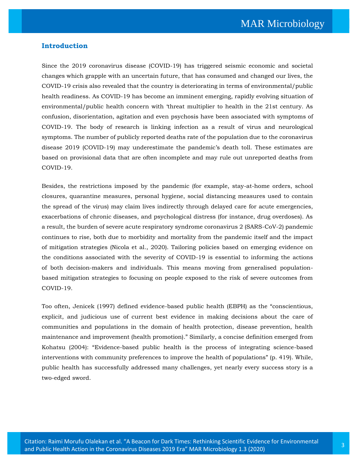#### **Introduction**

Since the 2019 coronavirus disease (COVID-19) has triggered seismic economic and societal changes which grapple with an uncertain future, that has consumed and changed our lives, the COVID-19 crisis also revealed that the country is deteriorating in terms of environmental/public health readiness. As COVID-19 has become an imminent emerging, rapidly evolving situation of environmental/public health concern with 'threat multiplier to health in the 21st century. As confusion, disorientation, agitation and even psychosis have been associated with symptoms of COVID-19. The body of research is linking infection as a result of virus and neurological symptoms. The number of publicly reported deaths rate of the population due to the coronavirus disease 2019 (COVID-19) may underestimate the pandemic's death toll. These estimates are based on provisional data that are often incomplete and may rule out unreported deaths from COVID-19.

Besides, the restrictions imposed by the pandemic (for example, stay-at-home orders, school closures, quarantine measures, personal hygiene, social distancing measures used to contain the spread of the virus) may claim lives indirectly through delayed care for acute emergencies, exacerbations of chronic diseases, and psychological distress (for instance, drug overdoses). As a result, the burden of severe acute respiratory syndrome coronavirus 2 (SARS-CoV-2) pandemic continues to rise, both due to morbidity and mortality from the pandemic itself and the impact of mitigation strategies (Nicola et al., 2020). Tailoring policies based on emerging evidence on the conditions associated with the severity of COVID-19 is essential to informing the actions of both decision-makers and individuals. This means moving from generalised populationbased mitigation strategies to focusing on people exposed to the risk of severe outcomes from COVID-19.

Too often, Jenicek (1997) defined evidence-based public health (EBPH) as the "conscientious, explicit, and judicious use of current best evidence in making decisions about the care of communities and populations in the domain of health protection, disease prevention, health maintenance and improvement (health promotion)." Similarly, a concise definition emerged from Kohatsu (2004): "Evidence-based public health is the process of integrating science-based interventions with community preferences to improve the health of populations" (p. 419). While, public health has successfully addressed many challenges, yet nearly every success story is a two-edged sword.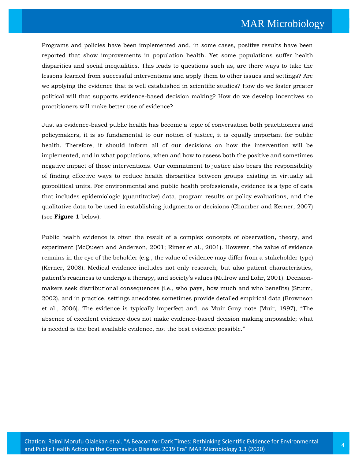Programs and policies have been implemented and, in some cases, positive results have been reported that show improvements in population health. Yet some populations suffer health disparities and social inequalities. This leads to questions such as, are there ways to take the lessons learned from successful interventions and apply them to other issues and settings? Are we applying the evidence that is well established in scientific studies? How do we foster greater political will that supports evidence-based decision making? How do we develop incentives so practitioners will make better use of evidence?

Just as evidence-based public health has become a topic of conversation both practitioners and policymakers, it is so fundamental to our notion of justice, it is equally important for public health. Therefore, it should inform all of our decisions on how the intervention will be implemented, and in what populations, when and how to assess both the positive and sometimes negative impact of those interventions. Our commitment to justice also bears the responsibility of finding effective ways to reduce health disparities between groups existing in virtually all geopolitical units. For environmental and public health professionals, evidence is a type of data that includes epidemiologic (quantitative) data, program results or policy evaluations, and the qualitative data to be used in establishing judgments or decisions (Chamber and Kerner, 2007) (see **Figure 1** below).

Public health evidence is often the result of a complex concepts of observation, theory, and experiment (McQueen and Anderson, 2001; Rimer et al., 2001). However, the value of evidence remains in the eye of the beholder (e.g., the value of evidence may differ from a stakeholder type) (Kerner, 2008). Medical evidence includes not only research, but also patient characteristics, patient's readiness to undergo a therapy, and society's values (Mulrow and Lohr, 2001). Decisionmakers seek distributional consequences (i.e., who pays, how much and who benefits) (Sturm, 2002), and in practice, settings anecdotes sometimes provide detailed empirical data (Brownson et al., 2006). The evidence is typically imperfect and, as Muir Gray note (Muir, 1997), "The absence of excellent evidence does not make evidence-based decision making impossible; what is needed is the best available evidence, not the best evidence possible."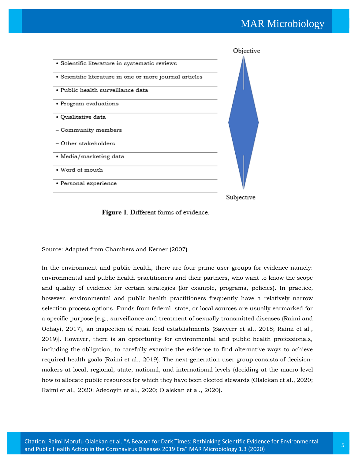

#### Figure 1. Different forms of evidence.

Source: Adapted from Chambers and Kerner (2007)

In the environment and public health, there are four prime user groups for evidence namely: environmental and public health practitioners and their partners, who want to know the scope and quality of evidence for certain strategies (for example, programs, policies). In practice, however, environmental and public health practitioners frequently have a relatively narrow selection process options. Funds from federal, state, or local sources are usually earmarked for a specific purpose [e.g., surveillance and treatment of sexually transmitted diseases (Raimi and Ochayi, 2017), an inspection of retail food establishments (Sawyerr et al., 2018; Raimi et al., 2019)]. However, there is an opportunity for environmental and public health professionals, including the obligation, to carefully examine the evidence to find alternative ways to achieve required health goals (Raimi et al., 2019). The next-generation user group consists of decisionmakers at local, regional, state, national, and international levels (deciding at the macro level how to allocate public resources for which they have been elected stewards (Olalekan et al., 2020; Raimi et al., 2020; Adedoyin et al., 2020; Olalekan et al., 2020).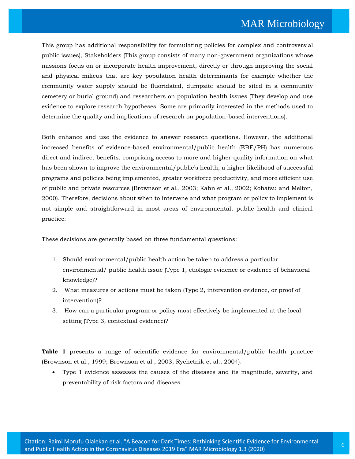This group has additional responsibility for formulating policies for complex and controversial public issues), Stakeholders (This group consists of many non-government organizations whose missions focus on or incorporate health improvement, directly or through improving the social and physical milieus that are key population health determinants for example whether the community water supply should be fluoridated, dumpsite should be sited in a community cemetery or burial ground) and researchers on population health issues (They develop and use evidence to explore research hypotheses. Some are primarily interested in the methods used to determine the quality and implications of research on population-based interventions).

Both enhance and use the evidence to answer research questions. However, the additional increased benefits of evidence-based environmental/public health (EBE/PH) has numerous direct and indirect benefits, comprising access to more and higher-quality information on what has been shown to improve the environmental/public's health, a higher likelihood of successful programs and policies being implemented, greater workforce productivity, and more efficient use of public and private resources (Brownson et al., 2003; Kahn et al., 2002; Kohatsu and Melton, 2000). Therefore, decisions about when to intervene and what program or policy to implement is not simple and straightforward in most areas of environmental, public health and clinical practice.

These decisions are generally based on three fundamental questions:

- 1. Should environmental/public health action be taken to address a particular environmental/ public health issue (Type 1, etiologic evidence or evidence of behavioral knowledge)?
- 2. What measures or actions must be taken (Type 2, intervention evidence, or proof of intervention)?
- 3. How can a particular program or policy most effectively be implemented at the local setting (Type 3, contextual evidence)?

**Table 1** presents a range of scientific evidence for environmental/public health practice (Brownson et al., 1999; Brownson et al., 2003; Rychetnik et al., 2004).

• Type 1 evidence assesses the causes of the diseases and its magnitude, severity, and preventability of risk factors and diseases.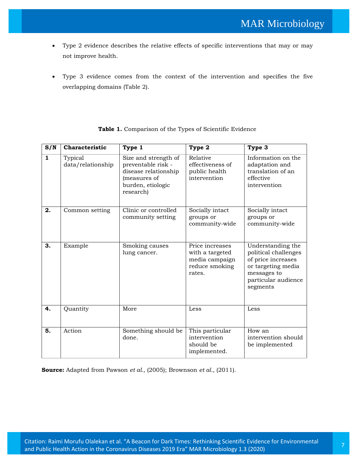- Type 2 evidence describes the relative effects of specific interventions that may or may not improve health.
- Type 3 evidence comes from the context of the intervention and specifies the five overlapping domains (Table 2).

| S/N                     | Characteristic               | Type 1                                                                                                               | Type 2                                                                           | Type 3                                                                                                                                  |
|-------------------------|------------------------------|----------------------------------------------------------------------------------------------------------------------|----------------------------------------------------------------------------------|-----------------------------------------------------------------------------------------------------------------------------------------|
| $\overline{\mathbf{1}}$ | Typical<br>data/relationship | Size and strength of<br>preventable risk -<br>disease relationship<br>(measures of<br>burden, etiologic<br>research) | Relative<br>effectiveness of<br>public health<br>intervention                    | Information on the<br>adaptation and<br>translation of an<br>effective<br>intervention                                                  |
| 2.                      | Common setting               | Clinic or controlled<br>community setting                                                                            | Socially intact<br>groups or<br>community-wide                                   | Socially intact<br>groups or<br>community-wide                                                                                          |
| 3.                      | Example                      | Smoking causes<br>lung cancer.                                                                                       | Price increases<br>with a targeted<br>media campaign<br>reduce smoking<br>rates. | Understanding the<br>political challenges<br>of price increases<br>or targeting media<br>messages to<br>particular audience<br>segments |
| 4.                      | Quantity                     | More                                                                                                                 | Less                                                                             | Less                                                                                                                                    |
| 5.                      | Action                       | Something should be<br>done.                                                                                         | This particular<br>intervention<br>should be<br>implemented.                     | How an<br>intervention should<br>be implemented                                                                                         |

| <b>Table 1.</b> Comparison of the Types of Scientific Evidence |
|----------------------------------------------------------------|
|----------------------------------------------------------------|

**Source:** Adapted from Pawson *et al.,* (2005); Brownson *et al.,* (2011).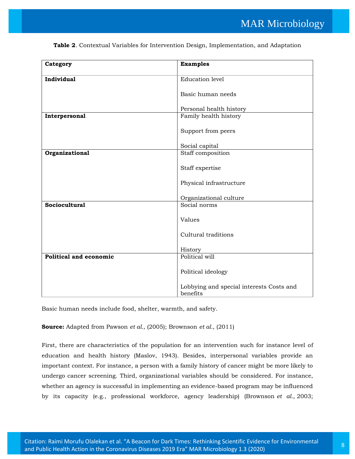| Category               | <b>Examples</b>                                      |
|------------------------|------------------------------------------------------|
| Individual             | <b>Education</b> level                               |
|                        | Basic human needs                                    |
|                        | Personal health history                              |
| Interpersonal          | Family health history                                |
|                        | Support from peers                                   |
|                        | Social capital                                       |
| Organizational         | Staff composition                                    |
|                        | Staff expertise                                      |
|                        | Physical infrastructure                              |
|                        | Organizational culture                               |
| <b>Sociocultural</b>   | Social norms                                         |
|                        | Values                                               |
|                        | Cultural traditions                                  |
|                        | History                                              |
| Political and economic | Political will                                       |
|                        | Political ideology                                   |
|                        | Lobbying and special interests Costs and<br>benefits |

**Table 2**. Contextual Variables for Intervention Design, Implementation, and Adaptation

Basic human needs include food, shelter, warmth, and safety.

**Source:** Adapted from Pawson *et al.,* (2005); Brownson *et al.,* (2011)

First, there are characteristics of the population for an intervention such for instance level of education and health history (Maslov, 1943). Besides, interpersonal variables provide an important context. For instance, a person with a family history of cancer might be more likely to undergo cancer screening. Third, organizational variables should be considered. For instance, whether an agency is successful in implementing an evidence-based program may be influenced by its capacity (e.g., professional workforce, agency leadership) (Brownson *et al.,* 2003;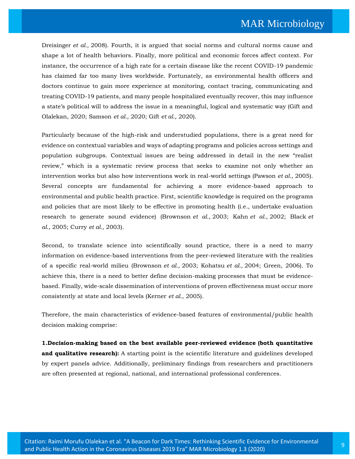Dreisinger *et al.,* 2008). Fourth, it is argued that social norms and cultural norms cause and shape a lot of health behaviors. Finally, more political and economic forces affect context. For instance, the occurrence of a high rate for a certain disease like the recent COVID-19 pandemic has claimed far too many lives worldwide. Fortunately, as environmental health officers and doctors continue to gain more experience at monitoring, contact tracing, communicating and treating COVID-19 patients, and many people hospitalized eventually recover, this may influence a state's political will to address the issue in a meaningful, logical and systematic way (Gift and Olalekan, 2020; Samson *et al.,* 2020; Gift *et al.,* 2020).

Particularly because of the high-risk and understudied populations, there is a great need for evidence on contextual variables and ways of adapting programs and policies across settings and population subgroups. Contextual issues are being addressed in detail in the new "realist review," which is a systematic review process that seeks to examine not only whether an intervention works but also how interventions work in real-world settings (Pawson *et al.,* 2005). Several concepts are fundamental for achieving a more evidence-based approach to environmental and public health practice. First, scientific knowledge is required on the programs and policies that are most likely to be effective in promoting health (i.e., undertake evaluation research to generate sound evidence) (Brownson *et al.,* 2003; Kahn *et al.,* 2002; Black *et al.,* 2005; Curry *et al.,* 2003).

Second, to translate science into scientifically sound practice, there is a need to marry information on evidence-based interventions from the peer-reviewed literature with the realities of a specific real-world milieu (Brownson *et al.,* 2003; Kohatsu *et al.,* 2004; Green, 2006). To achieve this, there is a need to better define decision-making processes that must be evidencebased. Finally, wide-scale dissemination of interventions of proven effectiveness must occur more consistently at state and local levels (Kerner *et al.,* 2005).

Therefore, the main characteristics of evidence-based features of environmental/public health decision making comprise:

**1.Decision-making based on the best available peer-reviewed evidence (both quantitative**  and qualitative research): A starting point is the scientific literature and guidelines developed by expert panels advice. Additionally, preliminary findings from researchers and practitioners are often presented at regional, national, and international professional conferences.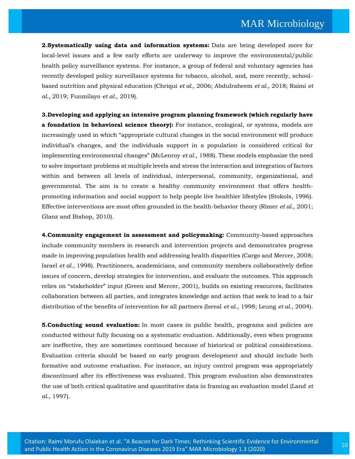**2.Systematically using data and information systems:** Data are being developed more for local-level issues and a few early efforts are underway to improve the environmental/public health policy surveillance systems. For instance, a group of federal and voluntary agencies has recently developed policy surveillance systems for tobacco, alcohol, and, more recently, schoolbased nutrition and physical education (Chriqui *et al.,* 2006; Abdulraheem *et al.,* 2018; Raimi *et al.,* 2019; Funmilayo *et al.,* 2019).

**3.Developing and applying an intensive program planning framework (which regularly have a foundation in behavioral science theory):** For instance, ecological, or systems, models are increasingly used in which "appropriate cultural changes in the social environment will produce individual's changes, and the individuals support in a population is considered critical for implementing environmental changes" (McLenroy *et al.,* 1988). These models emphasize the need to solve important problems at multiple levels and stress the interaction and integration of factors within and between all levels of individual, interpersonal, community, organizational, and governmental. The aim is to create a healthy community environment that offers healthpromoting information and social support to help people live healthier lifestyles (Stokols, 1996). Effective interventions are most often grounded in the health-behavior theory (Rimer *et al.,* 2001; Glanz and Bishop, 2010).

**4.Community engagement in assessment and policymaking:** Community-based approaches include community members in research and intervention projects and demonstrates progress made in improving population health and addressing health disparities (Cargo and Mercer, 2008; Israel *et al.,* 1998). Practitioners, academicians, and community members collaboratively define issues of concern, develop strategies for intervention, and evaluate the outcomes. This approach relies on "stakeholder" input (Green and Mercer, 2001), builds on existing resources, facilitates collaboration between all parties, and integrates knowledge and action that seek to lead to a fair distribution of the benefits of intervention for all partners (Isreal *et al.,* 1998; Leung *et al.,* 2004).

**5.Conducting sound evaluation:** In most cases in public health, programs and policies are conducted without fully focusing on a systematic evaluation. Additionally, even when programs are ineffective, they are sometimes continued because of historical or political considerations. Evaluation criteria should be based on early program development and should include both formative and outcome evaluation. For instance, an injury control program was appropriately discontinued after its effectiveness was evaluated. This program evaluation also demonstrates the use of both critical qualitative and quantitative data in framing an evaluation model (Land *et al.,* 1997).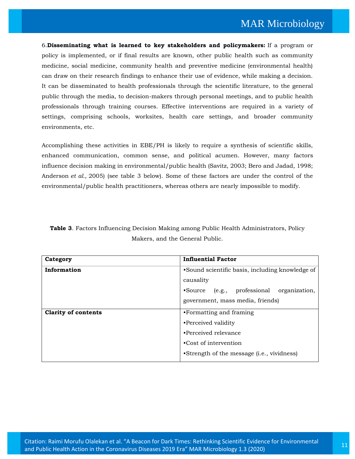6.**Disseminating what is learned to key stakeholders and policymakers:** If a program or policy is implemented, or if final results are known, other public health such as community medicine, social medicine, community health and preventive medicine (environmental health) can draw on their research findings to enhance their use of evidence, while making a decision. It can be disseminated to health professionals through the scientific literature, to the general public through the media, to decision-makers through personal meetings, and to public health professionals through training courses. Effective interventions are required in a variety of settings, comprising schools, worksites, health care settings, and broader community environments, etc.

Accomplishing these activities in EBE/PH is likely to require a synthesis of scientific skills, enhanced communication, common sense, and political acumen. However, many factors influence decision making in environmental/public health (Savitz, 2003; Bero and Jadad, 1998; Anderson *et al.,* 2005) (see table 3 below). Some of these factors are under the control of the environmental/public health practitioners, whereas others are nearly impossible to modify.

|                                 | <b>Table 3.</b> Factors Influencing Decision Making among Public Health Administrators, Policy |  |  |  |
|---------------------------------|------------------------------------------------------------------------------------------------|--|--|--|
| Makers, and the General Public. |                                                                                                |  |  |  |

| Category                   | <b>Influential Factor</b>                           |
|----------------------------|-----------------------------------------------------|
| Information                | •Sound scientific basis, including knowledge of     |
|                            | causality                                           |
|                            | •Source (e.g., professional<br>organization,        |
|                            | government, mass media, friends)                    |
| <b>Clarity of contents</b> | •Formatting and framing                             |
|                            | •Perceived validity                                 |
|                            | •Perceived relevance                                |
|                            | •Cost of intervention                               |
|                            | •Strength of the message ( <i>i.e.</i> , vividness) |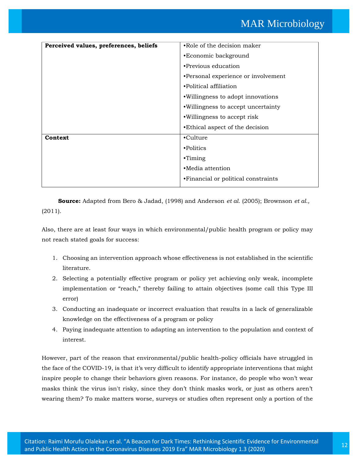| Perceived values, preferences, beliefs | •Role of the decision maker         |
|----------------------------------------|-------------------------------------|
|                                        | •Economic background                |
|                                        | • Previous education                |
|                                        | •Personal experience or involvement |
|                                        | •Political affiliation              |
|                                        | .Willingness to adopt innovations   |
|                                        | .Willingness to accept uncertainty  |
|                                        | . Willingness to accept risk        |
|                                        | • Ethical aspect of the decision    |
| Context                                | •Culture                            |
|                                        | •Politics                           |
|                                        | $\cdot$ Timing                      |
|                                        | •Media attention                    |
|                                        | •Financial or political constraints |
|                                        |                                     |

**Source:** Adapted from Bero & Jadad, (1998) and Anderson *et al.* (2005); Brownson *et al.,* (2011).

Also, there are at least four ways in which environmental/public health program or policy may not reach stated goals for success:

- 1. Choosing an intervention approach whose effectiveness is not established in the scientific literature.
- 2. Selecting a potentially effective program or policy yet achieving only weak, incomplete implementation or "reach," thereby failing to attain objectives (some call this Type III error)
- 3. Conducting an inadequate or incorrect evaluation that results in a lack of generalizable knowledge on the effectiveness of a program or policy
- 4. Paying inadequate attention to adapting an intervention to the population and context of interest.

However, part of the reason that environmental/public health-policy officials have struggled in the face of the COVID-19, is that it's very difficult to identify appropriate interventions that might inspire people to change their behaviors given reasons. For instance, do people who won't wear masks think the virus isn't risky, since they don't think masks work, or just as others aren't wearing them? To make matters worse, surveys or studies often represent only a portion of the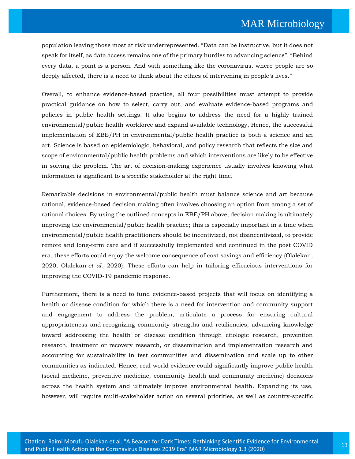population leaving those most at risk underrepresented. "Data can be instructive, but it does not speak for itself, as data access remains one of the primary hurdles to advancing science". "Behind every data, a point is a person. And with something like the coronavirus, where people are so deeply affected, there is a need to think about the ethics of intervening in people's lives."

Overall, to enhance evidence-based practice, all four possibilities must attempt to provide practical guidance on how to select, carry out, and evaluate evidence-based programs and policies in public health settings. It also begins to address the need for a highly trained environmental/public health workforce and expand available technology, Hence, the successful implementation of EBE/PH in environmental/public health practice is both a science and an art. Science is based on epidemiologic, behavioral, and policy research that reflects the size and scope of environmental/public health problems and which interventions are likely to be effective in solving the problem. The art of decision-making experience usually involves knowing what information is significant to a specific stakeholder at the right time.

Remarkable decisions in environmental/public health must balance science and art because rational, evidence-based decision making often involves choosing an option from among a set of rational choices. By using the outlined concepts in EBE/PH above, decision making is ultimately improving the environmental/public health practice; this is especially important in a time when environmental/public health practitioners should be incentivized, not disincentivized, to provide remote and long-term care and if successfully implemented and continued in the post COVID era, these efforts could enjoy the welcome consequence of cost savings and efficiency (Olalekan, 2020; Olalekan *et al.,* 2020). These efforts can help in tailoring efficacious interventions for improving the COVID-19 pandemic response.

Furthermore, there is a need to fund evidence-based projects that will focus on identifying a health or disease condition for which there is a need for intervention and community support and engagement to address the problem, articulate a process for ensuring cultural appropriateness and recognizing community strengths and resiliencies, advancing knowledge toward addressing the health or disease condition through etiologic research, prevention research, treatment or recovery research, or dissemination and implementation research and accounting for sustainability in test communities and dissemination and scale up to other communities as indicated. Hence, real-world evidence could significantly improve public health (social medicine, preventive medicine, community health and community medicine) decisions across the health system and ultimately improve environmental health. Expanding its use, however, will require multi-stakeholder action on several priorities, as well as country-specific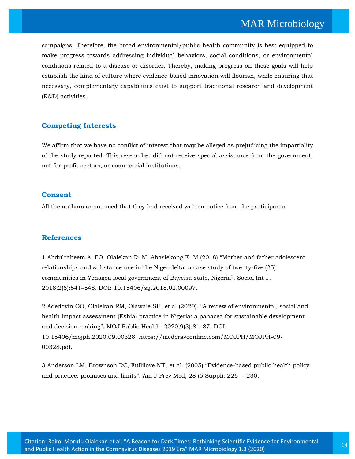campaigns. Therefore, the broad environmental/public health community is best equipped to make progress towards addressing individual behaviors, social conditions, or environmental conditions related to a disease or disorder. Thereby, making progress on these goals will help establish the kind of culture where evidence-based innovation will flourish, while ensuring that necessary, complementary capabilities exist to support traditional research and development (R&D) activities.

#### **Competing Interests**

We affirm that we have no conflict of interest that may be alleged as prejudicing the impartiality of the study reported. This researcher did not receive special assistance from the government, not-for-profit sectors, or commercial institutions.

#### **Consent**

All the authors announced that they had received written notice from the participants.

#### **References**

1.Abdulraheem [A. FO, Olalekan R. M, Abasiekong E. M \(2018\) "Mother and father adolescent](https://www.google.com/search?q=Mother+and+father+adolescent+relationships+and+substance+use+in+the+Niger+delta%3A+a+case+study+of+twenty-five+(25)+communities+in+Yenagoa+local+government+of+Bayelsa+state%2C+Nigeria&oq=Mother+and+father+adolescent+relationships+and+substance+use+in+the+Niger+delta%3A+a+case+study+of+twenty-five+(25)+communities+in+Yenagoa+local+government+of+Bayelsa+state%2C+Nigeria&aqs=chrome..69i57.1969j0j7&sourceid=chrome&ie=UTF-8)  [relationships and substance use in the Niger delta: a case study of twenty-five \(25\)](https://www.google.com/search?q=Mother+and+father+adolescent+relationships+and+substance+use+in+the+Niger+delta%3A+a+case+study+of+twenty-five+(25)+communities+in+Yenagoa+local+government+of+Bayelsa+state%2C+Nigeria&oq=Mother+and+father+adolescent+relationships+and+substance+use+in+the+Niger+delta%3A+a+case+study+of+twenty-five+(25)+communities+in+Yenagoa+local+government+of+Bayelsa+state%2C+Nigeria&aqs=chrome..69i57.1969j0j7&sourceid=chrome&ie=UTF-8)  [communities in Yenagoa local government of Bayelsa state, Nigeria". Sociol Int J.](https://www.google.com/search?q=Mother+and+father+adolescent+relationships+and+substance+use+in+the+Niger+delta%3A+a+case+study+of+twenty-five+(25)+communities+in+Yenagoa+local+government+of+Bayelsa+state%2C+Nigeria&oq=Mother+and+father+adolescent+relationships+and+substance+use+in+the+Niger+delta%3A+a+case+study+of+twenty-five+(25)+communities+in+Yenagoa+local+government+of+Bayelsa+state%2C+Nigeria&aqs=chrome..69i57.1969j0j7&sourceid=chrome&ie=UTF-8)  2018;2(6):541‒[548. DOI: 10.15406/sij.2018.02.00097.](https://www.google.com/search?q=Mother+and+father+adolescent+relationships+and+substance+use+in+the+Niger+delta%3A+a+case+study+of+twenty-five+(25)+communities+in+Yenagoa+local+government+of+Bayelsa+state%2C+Nigeria&oq=Mother+and+father+adolescent+relationships+and+substance+use+in+the+Niger+delta%3A+a+case+study+of+twenty-five+(25)+communities+in+Yenagoa+local+government+of+Bayelsa+state%2C+Nigeria&aqs=chrome..69i57.1969j0j7&sourceid=chrome&ie=UTF-8)

2.Adedoyin OO, Olalekan RM, Olawale SH, et al (2020). "A review of environmental, social and health impact assessment (Eshia) practice in Nigeria: a panacea for sustainable development and decision making". MOJ Public Health. 2020;9(3):81-87. DOI: 10.15406/mojph.2020.09.00328. https://medcraveonline.com/MOJPH/MOJPH-09- 00328.pdf.

3[.Anderson LM, Brownson RC, Fullilove MT](https://www.google.com/search?sxsrf=ALeKk02YxFKRbfrnDheYpBEn3Ajxrh7vuw%3A1601956740567&ei=hOt7X4uZIpbez7sPjoywyAo&q=Evidence-based+public+health+policy+and+practice%3A+promises+and+limits&oq=Evidence-based+public+health+policy+and+practice%3A+promises+and+limits&gs_lcp=CgZwc3ktYWIQAzoHCCMQ6gIQJzoNCC4QxwEQrwEQ6gIQJ1DMyQNYzMkDYLXQA2gBcAB4AIABmAGIAZgBkgEDMC4xmAEAoAEBoAECqgEHZ3dzLXdperABCsABAQ&sclient=psy-ab&ved=0ahUKEwiL693ziZ_sAhUW73MBHQ4GDKkQ4dUDCA0&uact=5), et al. (2005) "Evidence-based public health policy [and practice: promises and limits". Am J Prev Med; 28 \(5 Suppl\): 226 –](https://www.google.com/search?sxsrf=ALeKk02YxFKRbfrnDheYpBEn3Ajxrh7vuw%3A1601956740567&ei=hOt7X4uZIpbez7sPjoywyAo&q=Evidence-based+public+health+policy+and+practice%3A+promises+and+limits&oq=Evidence-based+public+health+policy+and+practice%3A+promises+and+limits&gs_lcp=CgZwc3ktYWIQAzoHCCMQ6gIQJzoNCC4QxwEQrwEQ6gIQJ1DMyQNYzMkDYLXQA2gBcAB4AIABmAGIAZgBkgEDMC4xmAEAoAEBoAECqgEHZ3dzLXdperABCsABAQ&sclient=psy-ab&ved=0ahUKEwiL693ziZ_sAhUW73MBHQ4GDKkQ4dUDCA0&uact=5) 230.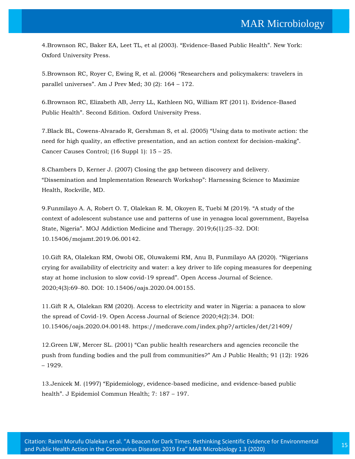4.[Brownson RC, Baker EA, Leet TL, et al \(2003\). "Evidence](https://www.google.com/search?sxsrf=ALeKk01d4D-lwiFL_z1KQ99wNHDBLafWLQ%3A1601956834237&ei=4ut7X9STDqKhmgfrkai4Bw&q=Evidence-Based+Public+Health&oq=Evidence-Based+Public+Health&gs_lcp=CgZwc3ktYWIQAzIECCMQJzIECCMQJzIFCC4QyQMyAggAMgIIADIHCAAQFBCHAjICCAAyAggAMgIIADICCAA6CQgAEMkDEBYQHjoGCAAQFhAeUJjGAViV2wFgmeYBaABwAHgAgAHLAYgB8gSSAQUwLjMuMZgBAKABAaoBB2d3cy13aXrAAQE&sclient=psy-ab&ved=0ahUKEwjUjLOgip_sAhWikOYKHesICncQ4dUDCA0&uact=5)-Based Public Health". New York: [Oxford University Press.](https://www.google.com/search?sxsrf=ALeKk01d4D-lwiFL_z1KQ99wNHDBLafWLQ%3A1601956834237&ei=4ut7X9STDqKhmgfrkai4Bw&q=Evidence-Based+Public+Health&oq=Evidence-Based+Public+Health&gs_lcp=CgZwc3ktYWIQAzIECCMQJzIECCMQJzIFCC4QyQMyAggAMgIIADIHCAAQFBCHAjICCAAyAggAMgIIADICCAA6CQgAEMkDEBYQHjoGCAAQFhAeUJjGAViV2wFgmeYBaABwAHgAgAHLAYgB8gSSAQUwLjMuMZgBAKABAaoBB2d3cy13aXrAAQE&sclient=psy-ab&ved=0ahUKEwjUjLOgip_sAhWikOYKHesICncQ4dUDCA0&uact=5)

5[.Brownson RC, Royer C, Ewing R, et al. \(2006\)](https://www.google.com/search?sxsrf=ALeKk03mb3fzcKuPcFw38blFf83-5ftqdA%3A1601956865255&ei=Aex7X9yND8nYz7sP3p2lgAs&q=Researchers+and+policymakers%3A+travelers+in+parallel+universes&oq=Researchers+and+policymakers%3A+travelers+in+parallel+universes&gs_lcp=CgZwc3ktYWIQAzIFCAAQyQM6CgguEOoCECcQkwI6BwgjEOoCECc6DQguEMcBEK8BEOoCECc6CQgAEMkDEBYQHlCz_ANY0JYEYLWbBGgBcAF4AIABnQGIAdwEkgEDMC40mAEAoAEBoAECqgEHZ3dzLXdperABCsABAQ&sclient=psy-ab&ved=0ahUKEwickpivip_sAhVJ7HMBHd5OCbAQ4dUDCA0&uact=5) "Researchers and policymakers: travelers in parallel universes"[. Am J Prev Med; 30 \(2\): 164](https://www.google.com/search?sxsrf=ALeKk03mb3fzcKuPcFw38blFf83-5ftqdA%3A1601956865255&ei=Aex7X9yND8nYz7sP3p2lgAs&q=Researchers+and+policymakers%3A+travelers+in+parallel+universes&oq=Researchers+and+policymakers%3A+travelers+in+parallel+universes&gs_lcp=CgZwc3ktYWIQAzIFCAAQyQM6CgguEOoCECcQkwI6BwgjEOoCECc6DQguEMcBEK8BEOoCECc6CQgAEMkDEBYQHlCz_ANY0JYEYLWbBGgBcAF4AIABnQGIAdwEkgEDMC40mAEAoAEBoAECqgEHZ3dzLXdperABCsABAQ&sclient=psy-ab&ved=0ahUKEwickpivip_sAhVJ7HMBHd5OCbAQ4dUDCA0&uact=5) – 172.

6[.Brownson RC, Elizabeth AB, Jerry LL, Kathleen NG, William RT \(2011\). Evidence-Based](https://www.google.com/search?sxsrf=ALeKk00wBv4WKbc5b5lGMN_0X_GYogrLtQ%3A1601956974847&ei=bux7X5OuM8WH8QOkw6_ICA&q=Evidence-Based+Public+Health.+Second+Edition+Oxford+University+Press&oq=Evidence-Based+Public+Health.+Second+Edition+Oxford+University+Press&gs_lcp=CgZwc3ktYWIQAzoECCMQJzoHCCMQrgIQJzoFCCEQoAE6BAghEBVQyBZYwoQBYO-GAWgDcAB4AIABuQGIAZAGkgEDMC41mAEAoAEBoAECqgEHZ3dzLXdpesABAQ&sclient=psy-ab&ved=0ahUKEwiTnbnjip_sAhXFQ3wKHaThC4kQ4dUDCA0&uact=5)  Public Health"[. Second Edition. Oxford University Press.](https://www.google.com/search?sxsrf=ALeKk00wBv4WKbc5b5lGMN_0X_GYogrLtQ%3A1601956974847&ei=bux7X5OuM8WH8QOkw6_ICA&q=Evidence-Based+Public+Health.+Second+Edition+Oxford+University+Press&oq=Evidence-Based+Public+Health.+Second+Edition+Oxford+University+Press&gs_lcp=CgZwc3ktYWIQAzoECCMQJzoHCCMQrgIQJzoFCCEQoAE6BAghEBVQyBZYwoQBYO-GAWgDcAB4AIABuQGIAZAGkgEDMC41mAEAoAEBoAECqgEHZ3dzLXdpesABAQ&sclient=psy-ab&ved=0ahUKEwiTnbnjip_sAhXFQ3wKHaThC4kQ4dUDCA0&uact=5)

7[.Black BL, Cowens-Alvarado R, Gershman S, et al. \(2005\)](https://www.google.com/search?sxsrf=ALeKk00HoY_PIECCCgVGVwx8_slZa_hPYg%3A1601957038555&ei=rux7X-WyIfnC3LUPrKuawAI&q=Using+data+to+motivate+action%3A+the+need+for+high+quality%2C+an+effective+presentation%2C+and+an+action+context+for+decision-making&oq=Using+data+to+motivate+action%3A+the+need+for+high+quality%2C+an+effective+presentation%2C+and+an+action+context+for+decision-making&gs_lcp=CgZwc3ktYWIQAzIHCCMQ6gIQJzIHCCMQ6gIQJzIHCCMQ6gIQJzIHCC4Q6gIQJzIHCCMQ6gIQJzIHCCMQ6gIQJzIHCCMQ6gIQJzIHCCMQ6gIQJzIHCCMQ6gIQJzIHCCMQ6gIQJ1DR3wNY0d8DYMDiA2gBcAB4AIABAIgBAJIBAJgBAKABAaABAqoBB2d3cy13aXqwAQrAAQE&sclient=psy-ab&ved=0ahUKEwjlwemBi5_sAhV5IbcAHayVBigQ4dUDCA0&uact=5) "Using data to motivate action: the [need for high quality, an effective presentation, and an action context for decision-making](https://www.google.com/search?sxsrf=ALeKk00HoY_PIECCCgVGVwx8_slZa_hPYg%3A1601957038555&ei=rux7X-WyIfnC3LUPrKuawAI&q=Using+data+to+motivate+action%3A+the+need+for+high+quality%2C+an+effective+presentation%2C+and+an+action+context+for+decision-making&oq=Using+data+to+motivate+action%3A+the+need+for+high+quality%2C+an+effective+presentation%2C+and+an+action+context+for+decision-making&gs_lcp=CgZwc3ktYWIQAzIHCCMQ6gIQJzIHCCMQ6gIQJzIHCCMQ6gIQJzIHCC4Q6gIQJzIHCCMQ6gIQJzIHCCMQ6gIQJzIHCCMQ6gIQJzIHCCMQ6gIQJzIHCCMQ6gIQJzIHCCMQ6gIQJ1DR3wNY0d8DYMDiA2gBcAB4AIABAIgBAJIBAJgBAKABAaABAqoBB2d3cy13aXqwAQrAAQE&sclient=psy-ab&ved=0ahUKEwjlwemBi5_sAhV5IbcAHayVBigQ4dUDCA0&uact=5)". [Cancer Causes Control; \(16 Suppl 1\): 15](https://www.google.com/search?sxsrf=ALeKk00HoY_PIECCCgVGVwx8_slZa_hPYg%3A1601957038555&ei=rux7X-WyIfnC3LUPrKuawAI&q=Using+data+to+motivate+action%3A+the+need+for+high+quality%2C+an+effective+presentation%2C+and+an+action+context+for+decision-making&oq=Using+data+to+motivate+action%3A+the+need+for+high+quality%2C+an+effective+presentation%2C+and+an+action+context+for+decision-making&gs_lcp=CgZwc3ktYWIQAzIHCCMQ6gIQJzIHCCMQ6gIQJzIHCCMQ6gIQJzIHCC4Q6gIQJzIHCCMQ6gIQJzIHCCMQ6gIQJzIHCCMQ6gIQJzIHCCMQ6gIQJzIHCCMQ6gIQJzIHCCMQ6gIQJ1DR3wNY0d8DYMDiA2gBcAB4AIABAIgBAJIBAJgBAKABAaABAqoBB2d3cy13aXqwAQrAAQE&sclient=psy-ab&ved=0ahUKEwjlwemBi5_sAhV5IbcAHayVBigQ4dUDCA0&uact=5) – 25.

8[.Chambers D, Kerner J. \(2007\) Closing the gap between discovery and delivery.](https://www.google.com/search?sxsrf=ALeKk03A7QmGi4AlN8y-9gF6lgJ9QEFh0w%3A1601957280333&ei=oO17X-D_E_C_3LUP5oWeqAE&q=Dissemination+and+Implementation+Research+Workshop&oq=Dissemination+and+Implementation+Research+Workshop&gs_lcp=CgZwc3ktYWIQAzIECCMQJzoHCCMQ6gIQJzoHCC4Q6gIQJ1CxjwlYsY8JYPySCWgBcAF4AIABoAGIAaABkgEDMC4xmAEAoAEBoAECqgEHZ3dzLXdperABCsABAQ&sclient=psy-ab&ved=0ahUKEwjgz471i5_sAhXwH7cAHeaCBxUQ4dUDCA0&uact=5)  "[Dissemination and Implementation Research Workshop](https://www.google.com/search?sxsrf=ALeKk03A7QmGi4AlN8y-9gF6lgJ9QEFh0w%3A1601957280333&ei=oO17X-D_E_C_3LUP5oWeqAE&q=Dissemination+and+Implementation+Research+Workshop&oq=Dissemination+and+Implementation+Research+Workshop&gs_lcp=CgZwc3ktYWIQAzIECCMQJzoHCCMQ6gIQJzoHCC4Q6gIQJ1CxjwlYsY8JYPySCWgBcAF4AIABoAGIAaABkgEDMC4xmAEAoAEBoAECqgEHZ3dzLXdperABCsABAQ&sclient=psy-ab&ved=0ahUKEwjgz471i5_sAhXwH7cAHeaCBxUQ4dUDCA0&uact=5)": Harnessing Science to Maximize [Health, Rockville, MD.](https://www.google.com/search?sxsrf=ALeKk03A7QmGi4AlN8y-9gF6lgJ9QEFh0w%3A1601957280333&ei=oO17X-D_E_C_3LUP5oWeqAE&q=Dissemination+and+Implementation+Research+Workshop&oq=Dissemination+and+Implementation+Research+Workshop&gs_lcp=CgZwc3ktYWIQAzIECCMQJzoHCCMQ6gIQJzoHCC4Q6gIQJ1CxjwlYsY8JYPySCWgBcAF4AIABoAGIAaABkgEDMC4xmAEAoAEBoAECqgEHZ3dzLXdperABCsABAQ&sclient=psy-ab&ved=0ahUKEwjgz471i5_sAhXwH7cAHeaCBxUQ4dUDCA0&uact=5)

9[.Funmilayo A. A, Robert O. T, Olalekan R. M, Okoyen E, Tuebi M \(2019\).](https://www.google.com/search?sxsrf=ALeKk01xYXMcxsOX57XiMNmf0spGPs9VCQ%3A1601957471052&ei=X-57X4HhAoDiz7sPq5GQuAo&q=A+study+of+the+context+of+adolescent+substance+use+and+patterns+of+use+in+yenagoa+local+government%2C+Bayelsa+State%2C+Nigeria&oq=A+study+of+the+context+of+adolescent+substance+use+and+patterns+of+use+in+yenagoa+local+government%2C+Bayelsa+State%2C+Nigeria&gs_lcp=CgZwc3ktYWIQAzIHCCMQ6gIQJzIHCCMQ6gIQJzIHCCMQ6gIQJzIHCCMQ6gIQJzIHCCMQ6gIQJzIHCCMQ6gIQJzIHCCMQ6gIQJzIHCC4Q6gIQJzIHCCMQ6gIQJzIHCCMQ6gIQJ1CTvgVYk74FYJnBBWgBcAF4AIABAIgBAJIBAJgBAKABAaABAqoBB2d3cy13aXqwAQrAAQE&sclient=psy-ab&ved=0ahUKEwjBjIfQjJ_sAhUA8XMBHasIBKcQ4dUDCA0&uact=5) "A study of the [context of adolescent substance use and patterns of use in yenagoa local government, Bayelsa](https://www.google.com/search?sxsrf=ALeKk01xYXMcxsOX57XiMNmf0spGPs9VCQ%3A1601957471052&ei=X-57X4HhAoDiz7sPq5GQuAo&q=A+study+of+the+context+of+adolescent+substance+use+and+patterns+of+use+in+yenagoa+local+government%2C+Bayelsa+State%2C+Nigeria&oq=A+study+of+the+context+of+adolescent+substance+use+and+patterns+of+use+in+yenagoa+local+government%2C+Bayelsa+State%2C+Nigeria&gs_lcp=CgZwc3ktYWIQAzIHCCMQ6gIQJzIHCCMQ6gIQJzIHCCMQ6gIQJzIHCCMQ6gIQJzIHCCMQ6gIQJzIHCCMQ6gIQJzIHCCMQ6gIQJzIHCC4Q6gIQJzIHCCMQ6gIQJzIHCCMQ6gIQJ1CTvgVYk74FYJnBBWgBcAF4AIABAIgBAJIBAJgBAKABAaABAqoBB2d3cy13aXqwAQrAAQE&sclient=psy-ab&ved=0ahUKEwjBjIfQjJ_sAhUA8XMBHasIBKcQ4dUDCA0&uact=5)  State, Nigeria"[. MOJ Addiction Medicine and Therapy. 2019;6\(1\):25](https://www.google.com/search?sxsrf=ALeKk01xYXMcxsOX57XiMNmf0spGPs9VCQ%3A1601957471052&ei=X-57X4HhAoDiz7sPq5GQuAo&q=A+study+of+the+context+of+adolescent+substance+use+and+patterns+of+use+in+yenagoa+local+government%2C+Bayelsa+State%2C+Nigeria&oq=A+study+of+the+context+of+adolescent+substance+use+and+patterns+of+use+in+yenagoa+local+government%2C+Bayelsa+State%2C+Nigeria&gs_lcp=CgZwc3ktYWIQAzIHCCMQ6gIQJzIHCCMQ6gIQJzIHCCMQ6gIQJzIHCCMQ6gIQJzIHCCMQ6gIQJzIHCCMQ6gIQJzIHCCMQ6gIQJzIHCC4Q6gIQJzIHCCMQ6gIQJzIHCCMQ6gIQJ1CTvgVYk74FYJnBBWgBcAF4AIABAIgBAJIBAJgBAKABAaABAqoBB2d3cy13aXqwAQrAAQE&sclient=psy-ab&ved=0ahUKEwjBjIfQjJ_sAhUA8XMBHasIBKcQ4dUDCA0&uact=5)-32. DOI: [10.15406/mojamt.2019.06.00142.](https://www.google.com/search?sxsrf=ALeKk01xYXMcxsOX57XiMNmf0spGPs9VCQ%3A1601957471052&ei=X-57X4HhAoDiz7sPq5GQuAo&q=A+study+of+the+context+of+adolescent+substance+use+and+patterns+of+use+in+yenagoa+local+government%2C+Bayelsa+State%2C+Nigeria&oq=A+study+of+the+context+of+adolescent+substance+use+and+patterns+of+use+in+yenagoa+local+government%2C+Bayelsa+State%2C+Nigeria&gs_lcp=CgZwc3ktYWIQAzIHCCMQ6gIQJzIHCCMQ6gIQJzIHCCMQ6gIQJzIHCCMQ6gIQJzIHCCMQ6gIQJzIHCCMQ6gIQJzIHCCMQ6gIQJzIHCC4Q6gIQJzIHCCMQ6gIQJzIHCCMQ6gIQJ1CTvgVYk74FYJnBBWgBcAF4AIABAIgBAJIBAJgBAKABAaABAqoBB2d3cy13aXqwAQrAAQE&sclient=psy-ab&ved=0ahUKEwjBjIfQjJ_sAhUA8XMBHasIBKcQ4dUDCA0&uact=5)

10[.Gift RA, Olalekan RM, Owobi OE, Oluwakemi RM, Anu B, Funmilayo AA \(2020\).](https://www.google.com/search?sxsrf=ALeKk00N1X8Kl8AaLOJKsElb5VqUQ8NYVA%3A1601957562637&ei=uu57X-etJprZz7sPzI2j4AQ&q=Nigerians+crying+for+availability+of+electricity+and+water%3A+a+key+driver+to+life+coping+measures+for+deepening+stay+at+home+inclusion+to+slow+covid-19+spread&oq=Nigerians+crying+for+availability+of+electricity+and+water%3A+a+key+driver+to+life+coping+measures+for+deepening+stay+at+home+inclusion+to+slow+covid-19+spread&gs_lcp=CgZwc3ktYWIQAzIHCCMQ6gIQJzIHCCMQ6gIQJzIHCCMQ6gIQJzIHCCMQ6gIQJzIHCCMQ6gIQJzIHCCMQ6gIQJzIHCCMQ6gIQJzIHCCMQ6gIQJzIHCC4Q6gIQJzIHCCMQ6gIQJ1C9iAhYvYgIYKOPCGgBcAB4AIABAIgBAJIBAJgBAKABAaABAqoBB2d3cy13aXqwAQrAAQE&sclient=psy-ab&ved=0ahUKEwjn8tz7jJ_sAhWa7HMBHczGCEwQ4dUDCA0&uact=5) "Nigerians [crying for availability of electricity and water: a key driver to life coping measures for deepening](https://www.google.com/search?sxsrf=ALeKk00N1X8Kl8AaLOJKsElb5VqUQ8NYVA%3A1601957562637&ei=uu57X-etJprZz7sPzI2j4AQ&q=Nigerians+crying+for+availability+of+electricity+and+water%3A+a+key+driver+to+life+coping+measures+for+deepening+stay+at+home+inclusion+to+slow+covid-19+spread&oq=Nigerians+crying+for+availability+of+electricity+and+water%3A+a+key+driver+to+life+coping+measures+for+deepening+stay+at+home+inclusion+to+slow+covid-19+spread&gs_lcp=CgZwc3ktYWIQAzIHCCMQ6gIQJzIHCCMQ6gIQJzIHCCMQ6gIQJzIHCCMQ6gIQJzIHCCMQ6gIQJzIHCCMQ6gIQJzIHCCMQ6gIQJzIHCCMQ6gIQJzIHCC4Q6gIQJzIHCCMQ6gIQJ1C9iAhYvYgIYKOPCGgBcAB4AIABAIgBAJIBAJgBAKABAaABAqoBB2d3cy13aXqwAQrAAQE&sclient=psy-ab&ved=0ahUKEwjn8tz7jJ_sAhWa7HMBHczGCEwQ4dUDCA0&uact=5)  [stay at home inclusion to slow covid-19 spread](https://www.google.com/search?sxsrf=ALeKk00N1X8Kl8AaLOJKsElb5VqUQ8NYVA%3A1601957562637&ei=uu57X-etJprZz7sPzI2j4AQ&q=Nigerians+crying+for+availability+of+electricity+and+water%3A+a+key+driver+to+life+coping+measures+for+deepening+stay+at+home+inclusion+to+slow+covid-19+spread&oq=Nigerians+crying+for+availability+of+electricity+and+water%3A+a+key+driver+to+life+coping+measures+for+deepening+stay+at+home+inclusion+to+slow+covid-19+spread&gs_lcp=CgZwc3ktYWIQAzIHCCMQ6gIQJzIHCCMQ6gIQJzIHCCMQ6gIQJzIHCCMQ6gIQJzIHCCMQ6gIQJzIHCCMQ6gIQJzIHCCMQ6gIQJzIHCCMQ6gIQJzIHCC4Q6gIQJzIHCCMQ6gIQJ1C9iAhYvYgIYKOPCGgBcAB4AIABAIgBAJIBAJgBAKABAaABAqoBB2d3cy13aXqwAQrAAQE&sclient=psy-ab&ved=0ahUKEwjn8tz7jJ_sAhWa7HMBHczGCEwQ4dUDCA0&uact=5)". Open Access Journal of Science. 2020;4(3):69‒[80. DOI: 10.15406/oajs.2020.04.00155.](https://www.google.com/search?sxsrf=ALeKk00N1X8Kl8AaLOJKsElb5VqUQ8NYVA%3A1601957562637&ei=uu57X-etJprZz7sPzI2j4AQ&q=Nigerians+crying+for+availability+of+electricity+and+water%3A+a+key+driver+to+life+coping+measures+for+deepening+stay+at+home+inclusion+to+slow+covid-19+spread&oq=Nigerians+crying+for+availability+of+electricity+and+water%3A+a+key+driver+to+life+coping+measures+for+deepening+stay+at+home+inclusion+to+slow+covid-19+spread&gs_lcp=CgZwc3ktYWIQAzIHCCMQ6gIQJzIHCCMQ6gIQJzIHCCMQ6gIQJzIHCCMQ6gIQJzIHCCMQ6gIQJzIHCCMQ6gIQJzIHCCMQ6gIQJzIHCCMQ6gIQJzIHCC4Q6gIQJzIHCCMQ6gIQJ1C9iAhYvYgIYKOPCGgBcAB4AIABAIgBAJIBAJgBAKABAaABAqoBB2d3cy13aXqwAQrAAQE&sclient=psy-ab&ved=0ahUKEwjn8tz7jJ_sAhWa7HMBHczGCEwQ4dUDCA0&uact=5)

11.Gift R A, Olalekan RM (2020). Access to electricity and water in Nigeria: a panacea to slow the spread of Covid-19. Open Access Journal of Science 2020;4(2):34. DOI: 10.15406/oajs.2020.04.00148. https://medcrave.com/index.php?/articles/det/21409/

12.Green LW, Mercer SL. (2001) "[Can public health researchers and agencies reconcile the](https://www.google.com/search?sxsrf=ALeKk03aYJDZQQrxAyXrFUBqabpVDS82NA%3A1601957696885&ei=QO97X_faNdjC3LUP-YaxuAo&q=Can+public+health+researchers+and+agencies+reconcile+the+push+from+funding+bodies+and+the+pull+from+communities%3F&oq=Can+public+health+researchers+and+agencies+reconcile+the+push+from+funding+bodies+and+the+pull+from+communities%3F&gs_lcp=CgZwc3ktYWIQAzIHCCMQ6gIQJzIHCCMQ6gIQJzIHCCMQ6gIQJzIHCCMQ6gIQJzIHCCMQ6gIQJzIHCCMQ6gIQJzIHCCMQ6gIQJzIHCCMQ6gIQJzIHCCMQ6gIQJzIHCC4Q6gIQJ1DPrgNYosQDYK7SA2gBcAB4AIABAIgBAJIBAJgBA6ABAaABAqoBB2d3cy13aXqwAQrAAQE&sclient=psy-ab&ved=0ahUKEwj3-t67jZ_sAhVYIbcAHXlDDKcQ4dUDCA0&uact=5)  push from funding [bodies and the pull from communities?](https://www.google.com/search?sxsrf=ALeKk03aYJDZQQrxAyXrFUBqabpVDS82NA%3A1601957696885&ei=QO97X_faNdjC3LUP-YaxuAo&q=Can+public+health+researchers+and+agencies+reconcile+the+push+from+funding+bodies+and+the+pull+from+communities%3F&oq=Can+public+health+researchers+and+agencies+reconcile+the+push+from+funding+bodies+and+the+pull+from+communities%3F&gs_lcp=CgZwc3ktYWIQAzIHCCMQ6gIQJzIHCCMQ6gIQJzIHCCMQ6gIQJzIHCCMQ6gIQJzIHCCMQ6gIQJzIHCCMQ6gIQJzIHCCMQ6gIQJzIHCCMQ6gIQJzIHCCMQ6gIQJzIHCC4Q6gIQJ1DPrgNYosQDYK7SA2gBcAB4AIABAIgBAJIBAJgBA6ABAaABAqoBB2d3cy13aXqwAQrAAQE&sclient=psy-ab&ved=0ahUKEwj3-t67jZ_sAhVYIbcAHXlDDKcQ4dUDCA0&uact=5)" Am J Public Health; 91 (12): 1926 – [1929.](https://www.google.com/search?sxsrf=ALeKk03aYJDZQQrxAyXrFUBqabpVDS82NA%3A1601957696885&ei=QO97X_faNdjC3LUP-YaxuAo&q=Can+public+health+researchers+and+agencies+reconcile+the+push+from+funding+bodies+and+the+pull+from+communities%3F&oq=Can+public+health+researchers+and+agencies+reconcile+the+push+from+funding+bodies+and+the+pull+from+communities%3F&gs_lcp=CgZwc3ktYWIQAzIHCCMQ6gIQJzIHCCMQ6gIQJzIHCCMQ6gIQJzIHCCMQ6gIQJzIHCCMQ6gIQJzIHCCMQ6gIQJzIHCCMQ6gIQJzIHCCMQ6gIQJzIHCCMQ6gIQJzIHCC4Q6gIQJ1DPrgNYosQDYK7SA2gBcAB4AIABAIgBAJIBAJgBA6ABAaABAqoBB2d3cy13aXqwAQrAAQE&sclient=psy-ab&ved=0ahUKEwj3-t67jZ_sAhVYIbcAHXlDDKcQ4dUDCA0&uact=5)

13.Jenicek M. (1997) "[Epidemiology, evidence-based medicine, and evidence-based public](https://www.google.com/search?sxsrf=ALeKk02kiVGgnb3Z-gkZcBtobnT6R-vDLg%3A1601957758677&ei=fu97X-jlKISLmgfU54mgAw&q=Epidemiology%2C+evidence-based+medicine%2C+and+evidence-based+public+health&oq=Epidemiology%2C+evidence-based+medicine%2C+and+evidence-based+public+health&gs_lcp=CgZwc3ktYWIQAzIJCAAQyQMQFhAeMgYIABAWEB46BwgjEOoCECdQ5_ICWOfyAmCh-QJoAXAAeACAAbMBiAGzAZIBAzAuMZgBAKABAaABAqoBB2d3cy13aXqwAQrAAQE&sclient=psy-ab&ved=0ahUKEwjonJrZjZ_sAhWEheYKHdRzAjQQ4dUDCA0&uact=5)  health"[. J Epidemiol Commun Health; 7: 187](https://www.google.com/search?sxsrf=ALeKk02kiVGgnb3Z-gkZcBtobnT6R-vDLg%3A1601957758677&ei=fu97X-jlKISLmgfU54mgAw&q=Epidemiology%2C+evidence-based+medicine%2C+and+evidence-based+public+health&oq=Epidemiology%2C+evidence-based+medicine%2C+and+evidence-based+public+health&gs_lcp=CgZwc3ktYWIQAzIJCAAQyQMQFhAeMgYIABAWEB46BwgjEOoCECdQ5_ICWOfyAmCh-QJoAXAAeACAAbMBiAGzAZIBAzAuMZgBAKABAaABAqoBB2d3cy13aXqwAQrAAQE&sclient=psy-ab&ved=0ahUKEwjonJrZjZ_sAhWEheYKHdRzAjQQ4dUDCA0&uact=5) – 197.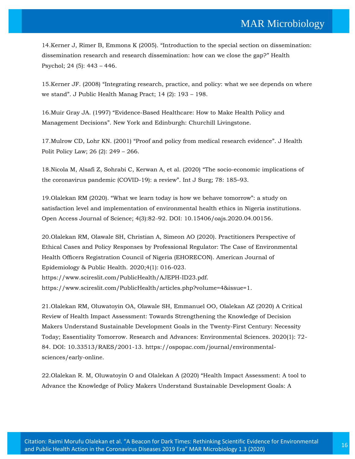14.Kerner J, Rimer B, Emmons K (2005). "[Introduction to the special section on dissemination:](https://www.google.com/search?sxsrf=ALeKk01zHk90teO7nj_Mqtka43mHGxB8Aw%3A1601957874197&ei=8u97X-G-C-TZz7sP8u27oAs&q=Introduction+to+the+special+section+on+dissemination%3A+dissemination+research+and+research+dissemination%3A+how+can+we+close+the+gap%3F&oq=Introduction+to+the+special+section+on+dissemination%3A+dissemination+research+and+research+dissemination%3A+how+can+we+close+the+gap%3F&gs_lcp=CgZwc3ktYWIQA1CS2gFYktoBYNXgAWgAcAB4AIABAIgBAJIBAJgBAaABAaoBB2d3cy13aXrAAQE&sclient=psy-ab&ved=0ahUKEwjh_6SQjp_sAhXk7HMBHfL2DrQQ4dUDCA0&uact=5)  [dissemination research and research dissemination: how can we close the gap?](https://www.google.com/search?sxsrf=ALeKk01zHk90teO7nj_Mqtka43mHGxB8Aw%3A1601957874197&ei=8u97X-G-C-TZz7sP8u27oAs&q=Introduction+to+the+special+section+on+dissemination%3A+dissemination+research+and+research+dissemination%3A+how+can+we+close+the+gap%3F&oq=Introduction+to+the+special+section+on+dissemination%3A+dissemination+research+and+research+dissemination%3A+how+can+we+close+the+gap%3F&gs_lcp=CgZwc3ktYWIQA1CS2gFYktoBYNXgAWgAcAB4AIABAIgBAJIBAJgBAaABAaoBB2d3cy13aXrAAQE&sclient=psy-ab&ved=0ahUKEwjh_6SQjp_sAhXk7HMBHfL2DrQQ4dUDCA0&uact=5)" Health [Psychol; 24 \(5\): 443](https://www.google.com/search?sxsrf=ALeKk01zHk90teO7nj_Mqtka43mHGxB8Aw%3A1601957874197&ei=8u97X-G-C-TZz7sP8u27oAs&q=Introduction+to+the+special+section+on+dissemination%3A+dissemination+research+and+research+dissemination%3A+how+can+we+close+the+gap%3F&oq=Introduction+to+the+special+section+on+dissemination%3A+dissemination+research+and+research+dissemination%3A+how+can+we+close+the+gap%3F&gs_lcp=CgZwc3ktYWIQA1CS2gFYktoBYNXgAWgAcAB4AIABAIgBAJIBAJgBAaABAaoBB2d3cy13aXrAAQE&sclient=psy-ab&ved=0ahUKEwjh_6SQjp_sAhXk7HMBHfL2DrQQ4dUDCA0&uact=5) – 446.

15.Kerner JF. (2008) "[Integrating research, practice, and policy: what we see depends on where](https://www.google.com/search?sxsrf=ALeKk009t0Dsw2ek7zxlO2aHBGeD7zXOVg%3A1601957905315&ei=EfB7X5DaEsSamge7oqPoCQ&q=Integrating+research%2C+practice%2C+and+policy%3A+what+we+see+depends+on+where+we+stand&oq=Integrating+research%2C+practice%2C+and+policy%3A+what+we+see+depends+on+where+we+stand&gs_lcp=CgZwc3ktYWIQAzoHCCMQ6gIQJ1Cl_QJYpf0CYPf_AmgBcAB4AIABuwGIAbsBkgEDMC4xmAEAoAEBoAECqgEHZ3dzLXdperABCsABAQ&sclient=psy-ab&ved=0ahUKEwjQppCfjp_sAhVEjeYKHTvRCJ0Q4dUDCA0&uact=5)  we stand"[. J Public Health Manag Pract; 14 \(2\): 193](https://www.google.com/search?sxsrf=ALeKk009t0Dsw2ek7zxlO2aHBGeD7zXOVg%3A1601957905315&ei=EfB7X5DaEsSamge7oqPoCQ&q=Integrating+research%2C+practice%2C+and+policy%3A+what+we+see+depends+on+where+we+stand&oq=Integrating+research%2C+practice%2C+and+policy%3A+what+we+see+depends+on+where+we+stand&gs_lcp=CgZwc3ktYWIQAzoHCCMQ6gIQJ1Cl_QJYpf0CYPf_AmgBcAB4AIABuwGIAbsBkgEDMC4xmAEAoAEBoAECqgEHZ3dzLXdperABCsABAQ&sclient=psy-ab&ved=0ahUKEwjQppCfjp_sAhVEjeYKHTvRCJ0Q4dUDCA0&uact=5) – 198.

16.Muir Gray JA. (1997) "[Evidence-Based Healthcare: How to Make Health Policy and](https://www.google.com/search?sxsrf=ALeKk01CsLHNwapX11kSp0c0LSIGfaymiA%3A1601957955508&ei=Q_B7X5PRHrGymgeP047YAg&q=Evidence-Based+Healthcare%3A+How+to+Make+Health+Policy+and+Management+Decisions&oq=Evidence-Based+Healthcare%3A+How+to+Make+Health+Policy+and+Management+Decisions&gs_lcp=CgZwc3ktYWIQAzIFCAAQyQM6BwgjEOoCECdQmakCWJmpAmCerAJoAXAAeACAAZsBiAGbAZIBAzAuMZgBAKABAaABAqoBB2d3cy13aXqwAQrAAQE&sclient=psy-ab&ved=0ahUKEwjT_oe3jp_sAhUxmeYKHY-pAysQ4dUDCA0&uact=5)  Management Decisions"[. New York and Edinburgh: Churchill Livingstone.](https://www.google.com/search?sxsrf=ALeKk01CsLHNwapX11kSp0c0LSIGfaymiA%3A1601957955508&ei=Q_B7X5PRHrGymgeP047YAg&q=Evidence-Based+Healthcare%3A+How+to+Make+Health+Policy+and+Management+Decisions&oq=Evidence-Based+Healthcare%3A+How+to+Make+Health+Policy+and+Management+Decisions&gs_lcp=CgZwc3ktYWIQAzIFCAAQyQM6BwgjEOoCECdQmakCWJmpAmCerAJoAXAAeACAAZsBiAGbAZIBAzAuMZgBAKABAaABAqoBB2d3cy13aXqwAQrAAQE&sclient=psy-ab&ved=0ahUKEwjT_oe3jp_sAhUxmeYKHY-pAysQ4dUDCA0&uact=5)

17.Mulrow CD, Lohr KN. (2001) "[Proof and policy from medical research evidence](https://www.google.com/search?sxsrf=ALeKk01TFCfJKwh1g3duH_aC_jOUuMmj6Q%3A1601957995661&ei=a_B7X6T2J-nAz7sPuI2I4A8&q=Proof+and+policy+from+medical+research+evidence&oq=Proof+and+policy+from+medical+research+evidence&gs_lcp=CgZwc3ktYWIQAzoHCCMQ6gIQJ1DJwgJYycICYKHFAmgBcAB4AIABzgGIAc4BkgEDMi0xmAEAoAEBoAECqgEHZ3dzLXdperABCsABAQ&sclient=psy-ab&ved=0ahUKEwjk15rKjp_sAhVp4HMBHbgGAvwQ4dUDCA0&uact=5)". J Health [Polit Policy Law; 26 \(2\): 249](https://www.google.com/search?sxsrf=ALeKk01TFCfJKwh1g3duH_aC_jOUuMmj6Q%3A1601957995661&ei=a_B7X6T2J-nAz7sPuI2I4A8&q=Proof+and+policy+from+medical+research+evidence&oq=Proof+and+policy+from+medical+research+evidence&gs_lcp=CgZwc3ktYWIQAzoHCCMQ6gIQJ1DJwgJYycICYKHFAmgBcAB4AIABzgGIAc4BkgEDMi0xmAEAoAEBoAECqgEHZ3dzLXdperABCsABAQ&sclient=psy-ab&ved=0ahUKEwjk15rKjp_sAhVp4HMBHbgGAvwQ4dUDCA0&uact=5) – 266.

18[.Nicola M, Alsafi Z, Sohrabi C, Kerwan A, et al. \(2020\)](https://www.google.com/search?sxsrf=ALeKk017FYLkFHRPhnXOevijCclUEZBqbQ%3A1601958038986&ei=lvB7X4rhO5LXz7sPudWNuAk&q=The+socio-economic+implications+of+the+coronavirus+pandemic+%28COVID-19%29%3A+a+review&oq=The+socio-economic+implications+of+the+coronavirus+pandemic+%28COVID-19%29%3A+a+review&gs_lcp=CgZwc3ktYWIQAzIFCAAQyQMyBggAEBYQHjoHCCMQ6gIQJ1DMzAFYzMwBYPjOAWgBcAB4AIABpwGIAacBkgEDMC4xmAEAoAEBoAECqgEHZ3dzLXdperABCsABAQ&sclient=psy-ab&ved=0ahUKEwiKhO_ejp_sAhWS63MBHblqA5cQ4dUDCA0&uact=5) "The socio-economic implications of [the coronavirus pandemic \(COVID-19\): a review](https://www.google.com/search?sxsrf=ALeKk017FYLkFHRPhnXOevijCclUEZBqbQ%3A1601958038986&ei=lvB7X4rhO5LXz7sPudWNuAk&q=The+socio-economic+implications+of+the+coronavirus+pandemic+%28COVID-19%29%3A+a+review&oq=The+socio-economic+implications+of+the+coronavirus+pandemic+%28COVID-19%29%3A+a+review&gs_lcp=CgZwc3ktYWIQAzIFCAAQyQMyBggAEBYQHjoHCCMQ6gIQJ1DMzAFYzMwBYPjOAWgBcAB4AIABpwGIAacBkgEDMC4xmAEAoAEBoAECqgEHZ3dzLXdperABCsABAQ&sclient=psy-ab&ved=0ahUKEwiKhO_ejp_sAhWS63MBHblqA5cQ4dUDCA0&uact=5)". Int J Surg; 78: 185–93.

19.[Olalekan RM \(2020\). "What we learn today is how we behave tomorrow": a study on](https://www.google.com/search?sxsrf=ALeKk00YdBVjhi2ezzqxCDvkxl96KMLfAw%3A1601958105630&ei=2fB7X5W6H-nbz7sPvpqIoAw&q=What+we+learn+today+is+how+we+behave+tomorrow%3A+a+study+on+satisfaction+level+and+implementation+of+environmental+health+ethics+in+Nigeria+institutions&oq=What+we+learn+today+is+how+we+behave+tomorrow%3A+a+study+on+satisfaction+level+and+implementation+of+environmental+health+ethics+in+Nigeria+institutions&gs_lcp=CgZwc3ktYWIQDDIHCCMQ6gIQJzIHCCMQ6gIQJzIHCCMQ6gIQJzIHCCMQ6gIQJzIHCCMQ6gIQJzIHCCMQ6gIQJzIHCCMQ6gIQJzIHCCMQ6gIQJzIHCCMQ6gIQJzIHCCMQ6gIQJ1DZwQFYxfcBYL-JAmgBcAB4AIABAIgBAJIBAJgBA6ABAaABAqoBB2d3cy13aXqwAQrAAQE&sclient=psy-ab&ved=0ahUKEwjVisz-jp_sAhXp7XMBHT4NAsQQ4dUDCA0)  [satisfaction level and implementation of environmental health ethics in Nigeria institutions.](https://www.google.com/search?sxsrf=ALeKk00YdBVjhi2ezzqxCDvkxl96KMLfAw%3A1601958105630&ei=2fB7X5W6H-nbz7sPvpqIoAw&q=What+we+learn+today+is+how+we+behave+tomorrow%3A+a+study+on+satisfaction+level+and+implementation+of+environmental+health+ethics+in+Nigeria+institutions&oq=What+we+learn+today+is+how+we+behave+tomorrow%3A+a+study+on+satisfaction+level+and+implementation+of+environmental+health+ethics+in+Nigeria+institutions&gs_lcp=CgZwc3ktYWIQDDIHCCMQ6gIQJzIHCCMQ6gIQJzIHCCMQ6gIQJzIHCCMQ6gIQJzIHCCMQ6gIQJzIHCCMQ6gIQJzIHCCMQ6gIQJzIHCCMQ6gIQJzIHCCMQ6gIQJzIHCCMQ6gIQJ1DZwQFYxfcBYL-JAmgBcAB4AIABAIgBAJIBAJgBA6ABAaABAqoBB2d3cy13aXqwAQrAAQE&sclient=psy-ab&ved=0ahUKEwjVisz-jp_sAhXp7XMBHT4NAsQQ4dUDCA0)  Open Access Journal of Science; 4(3):82‒[92. DOI: 10.15406/oajs.2020.04.00156.](https://www.google.com/search?sxsrf=ALeKk00YdBVjhi2ezzqxCDvkxl96KMLfAw%3A1601958105630&ei=2fB7X5W6H-nbz7sPvpqIoAw&q=What+we+learn+today+is+how+we+behave+tomorrow%3A+a+study+on+satisfaction+level+and+implementation+of+environmental+health+ethics+in+Nigeria+institutions&oq=What+we+learn+today+is+how+we+behave+tomorrow%3A+a+study+on+satisfaction+level+and+implementation+of+environmental+health+ethics+in+Nigeria+institutions&gs_lcp=CgZwc3ktYWIQDDIHCCMQ6gIQJzIHCCMQ6gIQJzIHCCMQ6gIQJzIHCCMQ6gIQJzIHCCMQ6gIQJzIHCCMQ6gIQJzIHCCMQ6gIQJzIHCCMQ6gIQJzIHCCMQ6gIQJzIHCCMQ6gIQJ1DZwQFYxfcBYL-JAmgBcAB4AIABAIgBAJIBAJgBA6ABAaABAqoBB2d3cy13aXqwAQrAAQE&sclient=psy-ab&ved=0ahUKEwjVisz-jp_sAhXp7XMBHT4NAsQQ4dUDCA0)

20.Olalekan RM, Olawale SH, Christian A, Simeon AO (2020). Practitioners Perspective of Ethical Cases and Policy Responses by Professional Regulator: The Case of Environmental Health Officers Registration Council of Nigeria (EHORECON). American Journal of Epidemiology & Public Health. 2020;4(1): 016-023. https://www.scireslit.com/PublicHealth/AJEPH-ID23.pdf. https://www.scireslit.com/PublicHealth/articles.php?volume=4&issue=1.

21.Olalekan RM, Oluwatoyin OA, Olawale SH, Emmanuel OO, Olalekan AZ (2020) A Critical Review of Health Impact Assessment: Towards Strengthening the Knowledge of Decision Makers Understand Sustainable Development Goals in the Twenty-First Century: Necessity Today; Essentiality Tomorrow. Research and Advances: Environmental Sciences. 2020(1): 72- 84. DOI: 10.33513/RAES/2001-13. https://ospopac.com/journal/environmentalsciences/early-online.

22.Olalekan R. M, Oluwatoyin O and Olalekan A (2020) "Health Impact Assessment: A tool to Advance the Knowledge of Policy Makers Understand Sustainable Development Goals: A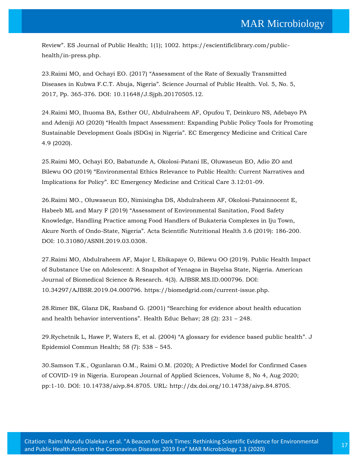Review". ES Journal of Public Health; 1(1); 1002. https://escientificlibrary.com/publichealth/in-press.php.

23.Raimi MO, and Ochayi EO. (2017) "[Assessment of the Rate of Sexually Transmitted](https://www.google.com/search?sxsrf=ALeKk03sboyAXm0-A_BsJv91UC8mgflREQ%3A1601958204005&ei=O_F7X-jxPMPWz7sPzcie2As&q=Assessment+of+the+Rate+of+Sexually+Transmitted+Diseases+in+Kubwa+F.C.T.+Abuja%2C+Nigeria&oq=Assessment+of+the+Rate+of+Sexually+Transmitted+Diseases+in+Kubwa+F.C.T.+Abuja%2C+Nigeria&gs_lcp=CgZwc3ktYWIQAzoHCCMQ6gIQJ1DT0wRY09MEYNLWBGgBcAB4AIABpQGIAaUBkgEDMC4xmAEAoAEBoAECqgEHZ3dzLXdperABCsABAQ&sclient=psy-ab&ved=0ahUKEwio-8atj5_sAhVD63MBHU2kB7sQ4dUDCA0&uact=5)  Diseases in Kubwa F.C.T. Abuja, Nigeria". [Science Journal of Public Health. Vol. 5, No. 5,](https://www.google.com/search?sxsrf=ALeKk03sboyAXm0-A_BsJv91UC8mgflREQ%3A1601958204005&ei=O_F7X-jxPMPWz7sPzcie2As&q=Assessment+of+the+Rate+of+Sexually+Transmitted+Diseases+in+Kubwa+F.C.T.+Abuja%2C+Nigeria&oq=Assessment+of+the+Rate+of+Sexually+Transmitted+Diseases+in+Kubwa+F.C.T.+Abuja%2C+Nigeria&gs_lcp=CgZwc3ktYWIQAzoHCCMQ6gIQJ1DT0wRY09MEYNLWBGgBcAB4AIABpQGIAaUBkgEDMC4xmAEAoAEBoAECqgEHZ3dzLXdperABCsABAQ&sclient=psy-ab&ved=0ahUKEwio-8atj5_sAhVD63MBHU2kB7sQ4dUDCA0&uact=5)  [2017, Pp. 365-376. DOI: 10.11648/J.Sjph.20170505.12.](https://www.google.com/search?sxsrf=ALeKk03sboyAXm0-A_BsJv91UC8mgflREQ%3A1601958204005&ei=O_F7X-jxPMPWz7sPzcie2As&q=Assessment+of+the+Rate+of+Sexually+Transmitted+Diseases+in+Kubwa+F.C.T.+Abuja%2C+Nigeria&oq=Assessment+of+the+Rate+of+Sexually+Transmitted+Diseases+in+Kubwa+F.C.T.+Abuja%2C+Nigeria&gs_lcp=CgZwc3ktYWIQAzoHCCMQ6gIQJ1DT0wRY09MEYNLWBGgBcAB4AIABpQGIAaUBkgEDMC4xmAEAoAEBoAECqgEHZ3dzLXdperABCsABAQ&sclient=psy-ab&ved=0ahUKEwio-8atj5_sAhVD63MBHU2kB7sQ4dUDCA0&uact=5)

24[.Raimi MO, Ihuoma BA, Esther OU, Abdulraheem AF, Opufou T, Deinkuro NS, Adebayo PA](https://www.google.com/search?sxsrf=ALeKk00vE05kqbqpuyMfrg4gJbbqsURV7Q%3A1601958282480&ei=ivF7X4XvHJXD3LUP94Kf4AE&q=Health+Impact+Assessment%3A+Expanding+Public+Policy+Tools+for+Promoting+Sustainable+Development+Goals+%28SDGs%29+in+Nigeria&oq=Health+Impact+Assessment%3A+Expanding+Public+Policy+Tools+for+Promoting+Sustainable+Development+Goals+%28SDGs%29+in+Nigeria&gs_lcp=CgZwc3ktYWIQAzIHCCMQ6gIQJzIHCCMQ6gIQJzIHCCMQ6gIQJzIHCCMQ6gIQJzIHCCMQ6gIQJzIHCCMQ6gIQJzIHCCMQ6gIQJzIHCCMQ6gIQJzIHCCMQ6gIQJzIHCCMQ6gIQJ1D5uAJY-bgCYJS7AmgBcAB4AIABAIgBAJIBAJgBAKABAaABAqoBB2d3cy13aXqwAQrAAQE&sclient=psy-ab&ved=0ahUKEwiF3PzSj5_sAhWVIbcAHXfBBxwQ4dUDCA0&uact=5)  [and Adeniji AO \(2020\) "Health Impact Assessment: Expanding Public Policy Tools for Pr](https://www.google.com/search?sxsrf=ALeKk00vE05kqbqpuyMfrg4gJbbqsURV7Q%3A1601958282480&ei=ivF7X4XvHJXD3LUP94Kf4AE&q=Health+Impact+Assessment%3A+Expanding+Public+Policy+Tools+for+Promoting+Sustainable+Development+Goals+%28SDGs%29+in+Nigeria&oq=Health+Impact+Assessment%3A+Expanding+Public+Policy+Tools+for+Promoting+Sustainable+Development+Goals+%28SDGs%29+in+Nigeria&gs_lcp=CgZwc3ktYWIQAzIHCCMQ6gIQJzIHCCMQ6gIQJzIHCCMQ6gIQJzIHCCMQ6gIQJzIHCCMQ6gIQJzIHCCMQ6gIQJzIHCCMQ6gIQJzIHCCMQ6gIQJzIHCCMQ6gIQJzIHCCMQ6gIQJ1D5uAJY-bgCYJS7AmgBcAB4AIABAIgBAJIBAJgBAKABAaABAqoBB2d3cy13aXqwAQrAAQE&sclient=psy-ab&ved=0ahUKEwiF3PzSj5_sAhWVIbcAHXfBBxwQ4dUDCA0&uact=5)omoting [Sustainable Development Goals \(SDGs\) in Nigeria". EC Emergency Medicine and Critical Care](https://www.google.com/search?sxsrf=ALeKk00vE05kqbqpuyMfrg4gJbbqsURV7Q%3A1601958282480&ei=ivF7X4XvHJXD3LUP94Kf4AE&q=Health+Impact+Assessment%3A+Expanding+Public+Policy+Tools+for+Promoting+Sustainable+Development+Goals+%28SDGs%29+in+Nigeria&oq=Health+Impact+Assessment%3A+Expanding+Public+Policy+Tools+for+Promoting+Sustainable+Development+Goals+%28SDGs%29+in+Nigeria&gs_lcp=CgZwc3ktYWIQAzIHCCMQ6gIQJzIHCCMQ6gIQJzIHCCMQ6gIQJzIHCCMQ6gIQJzIHCCMQ6gIQJzIHCCMQ6gIQJzIHCCMQ6gIQJzIHCCMQ6gIQJzIHCCMQ6gIQJzIHCCMQ6gIQJ1D5uAJY-bgCYJS7AmgBcAB4AIABAIgBAJIBAJgBAKABAaABAqoBB2d3cy13aXqwAQrAAQE&sclient=psy-ab&ved=0ahUKEwiF3PzSj5_sAhWVIbcAHXfBBxwQ4dUDCA0&uact=5)  [4.9 \(2020\).](https://www.google.com/search?sxsrf=ALeKk00vE05kqbqpuyMfrg4gJbbqsURV7Q%3A1601958282480&ei=ivF7X4XvHJXD3LUP94Kf4AE&q=Health+Impact+Assessment%3A+Expanding+Public+Policy+Tools+for+Promoting+Sustainable+Development+Goals+%28SDGs%29+in+Nigeria&oq=Health+Impact+Assessment%3A+Expanding+Public+Policy+Tools+for+Promoting+Sustainable+Development+Goals+%28SDGs%29+in+Nigeria&gs_lcp=CgZwc3ktYWIQAzIHCCMQ6gIQJzIHCCMQ6gIQJzIHCCMQ6gIQJzIHCCMQ6gIQJzIHCCMQ6gIQJzIHCCMQ6gIQJzIHCCMQ6gIQJzIHCCMQ6gIQJzIHCCMQ6gIQJzIHCCMQ6gIQJ1D5uAJY-bgCYJS7AmgBcAB4AIABAIgBAJIBAJgBAKABAaABAqoBB2d3cy13aXqwAQrAAQE&sclient=psy-ab&ved=0ahUKEwiF3PzSj5_sAhWVIbcAHXfBBxwQ4dUDCA0&uact=5)

25[.Raimi MO, Ochayi EO, Babatunde A, Okolosi-Patani IE, Oluwaseun EO, Adio ZO and](https://www.google.com/search?sxsrf=ALeKk00gFt0OBsfZKxXOC5-U77FB5I1Sig%3A1601958324764&ei=tPF7X5mULsGYmged6oGwDA&q=Environmental+Ethics+Relevance+to+Public+Health%3A+Current+Narratives+and+Implications+for+Policy&oq=Environmental+Ethics+Relevance+to+Public+Health%3A+Current+Narratives+and+Implications+for+Policy&gs_lcp=CgZwc3ktYWIQAzIHCCMQ6gIQJzIHCCMQ6gIQJzIHCCMQ6gIQJzIHCCMQ6gIQJzIHCCMQ6gIQJzIHCCMQ6gIQJzIHCCMQ6gIQJzIHCCMQ6gIQJzIHCCMQ6gIQJzIHCCMQ6gIQJ1Cz6QFYs-kBYP3rAWgBcAB4AIABAIgBAJIBAJgBAKABAaABAqoBB2d3cy13aXqwAQrAAQE&sclient=psy-ab&ved=0ahUKEwiZvpHnj5_sAhVBjOYKHR11AMYQ4dUDCA0&uact=5)  [Bilewu OO \(2019\) "Environmental Ethics Relevance to Public Health: Current Narratives and](https://www.google.com/search?sxsrf=ALeKk00gFt0OBsfZKxXOC5-U77FB5I1Sig%3A1601958324764&ei=tPF7X5mULsGYmged6oGwDA&q=Environmental+Ethics+Relevance+to+Public+Health%3A+Current+Narratives+and+Implications+for+Policy&oq=Environmental+Ethics+Relevance+to+Public+Health%3A+Current+Narratives+and+Implications+for+Policy&gs_lcp=CgZwc3ktYWIQAzIHCCMQ6gIQJzIHCCMQ6gIQJzIHCCMQ6gIQJzIHCCMQ6gIQJzIHCCMQ6gIQJzIHCCMQ6gIQJzIHCCMQ6gIQJzIHCCMQ6gIQJzIHCCMQ6gIQJzIHCCMQ6gIQJ1Cz6QFYs-kBYP3rAWgBcAB4AIABAIgBAJIBAJgBAKABAaABAqoBB2d3cy13aXqwAQrAAQE&sclient=psy-ab&ved=0ahUKEwiZvpHnj5_sAhVBjOYKHR11AMYQ4dUDCA0&uact=5)  [Implications for Policy". EC Emergency Medicine and Critical Care 3.12:01](https://www.google.com/search?sxsrf=ALeKk00gFt0OBsfZKxXOC5-U77FB5I1Sig%3A1601958324764&ei=tPF7X5mULsGYmged6oGwDA&q=Environmental+Ethics+Relevance+to+Public+Health%3A+Current+Narratives+and+Implications+for+Policy&oq=Environmental+Ethics+Relevance+to+Public+Health%3A+Current+Narratives+and+Implications+for+Policy&gs_lcp=CgZwc3ktYWIQAzIHCCMQ6gIQJzIHCCMQ6gIQJzIHCCMQ6gIQJzIHCCMQ6gIQJzIHCCMQ6gIQJzIHCCMQ6gIQJzIHCCMQ6gIQJzIHCCMQ6gIQJzIHCCMQ6gIQJzIHCCMQ6gIQJ1Cz6QFYs-kBYP3rAWgBcAB4AIABAIgBAJIBAJgBAKABAaABAqoBB2d3cy13aXqwAQrAAQE&sclient=psy-ab&ved=0ahUKEwiZvpHnj5_sAhVBjOYKHR11AMYQ4dUDCA0&uact=5)-09.

26[.Raimi MO., Oluwaseun EO, Nimisingha DS, Abdulraheem AF, Okolosi-Patainnocent E,](https://www.google.com/search?sxsrf=ALeKk00_K-vS3-PNPXDTOeONoALbkq1BNA%3A1601958357037&ei=1fF7X5XoAfC_3LUP5oWeqAE&q=Assessment+of+Environmental+Sanitation%2C+Food+Safety+Knowledge%2C+Handling+Practice+among+Food+Handlers+of+Bukateria+Complexes+in+Iju+Town%2C+Akure+North+of+Ondo-State%2C+Nigeria&oq=Assessment+of+Environmental+Sanitation%2C+Food+Safety+Knowledge%2C+Handling+Practice+among+Food+Handlers+of+Bukateria+Complexes+in+Iju+Town%2C+Akure+North+of+Ondo-State%2C+Nigeria&gs_lcp=CgZwc3ktYWIQAzIHCCMQ6gIQJzIHCCMQ6gIQJzIHCCMQ6gIQJzIHCCMQ6gIQJzIHCCMQ6gIQJzIHCCMQ6gIQJzIHCCMQ6gIQJzIHCCMQ6gIQJzIHCCMQ6gIQJzIHCCMQ6gIQJ1CBswJYgbMCYLm1AmgBcAB4AIABAIgBAJIBAJgBAKABAaABAqoBB2d3cy13aXqwAQrAAQE&sclient=psy-ab&ved=0ahUKEwjVpsP2j5_sAhXwH7cAHeaCBxUQ4dUDCA0&uact=5)  Habeeb ML and Mary F (2019) "[Assessment of Environmental Sanitation, Food Safety](https://www.google.com/search?sxsrf=ALeKk00_K-vS3-PNPXDTOeONoALbkq1BNA%3A1601958357037&ei=1fF7X5XoAfC_3LUP5oWeqAE&q=Assessment+of+Environmental+Sanitation%2C+Food+Safety+Knowledge%2C+Handling+Practice+among+Food+Handlers+of+Bukateria+Complexes+in+Iju+Town%2C+Akure+North+of+Ondo-State%2C+Nigeria&oq=Assessment+of+Environmental+Sanitation%2C+Food+Safety+Knowledge%2C+Handling+Practice+among+Food+Handlers+of+Bukateria+Complexes+in+Iju+Town%2C+Akure+North+of+Ondo-State%2C+Nigeria&gs_lcp=CgZwc3ktYWIQAzIHCCMQ6gIQJzIHCCMQ6gIQJzIHCCMQ6gIQJzIHCCMQ6gIQJzIHCCMQ6gIQJzIHCCMQ6gIQJzIHCCMQ6gIQJzIHCCMQ6gIQJzIHCCMQ6gIQJzIHCCMQ6gIQJ1CBswJYgbMCYLm1AmgBcAB4AIABAIgBAJIBAJgBAKABAaABAqoBB2d3cy13aXqwAQrAAQE&sclient=psy-ab&ved=0ahUKEwjVpsP2j5_sAhXwH7cAHeaCBxUQ4dUDCA0&uact=5)  [Knowledge, Handling Practice among Food Handlers of Bukateria Complexes in Iju Town,](https://www.google.com/search?sxsrf=ALeKk00_K-vS3-PNPXDTOeONoALbkq1BNA%3A1601958357037&ei=1fF7X5XoAfC_3LUP5oWeqAE&q=Assessment+of+Environmental+Sanitation%2C+Food+Safety+Knowledge%2C+Handling+Practice+among+Food+Handlers+of+Bukateria+Complexes+in+Iju+Town%2C+Akure+North+of+Ondo-State%2C+Nigeria&oq=Assessment+of+Environmental+Sanitation%2C+Food+Safety+Knowledge%2C+Handling+Practice+among+Food+Handlers+of+Bukateria+Complexes+in+Iju+Town%2C+Akure+North+of+Ondo-State%2C+Nigeria&gs_lcp=CgZwc3ktYWIQAzIHCCMQ6gIQJzIHCCMQ6gIQJzIHCCMQ6gIQJzIHCCMQ6gIQJzIHCCMQ6gIQJzIHCCMQ6gIQJzIHCCMQ6gIQJzIHCCMQ6gIQJzIHCCMQ6gIQJzIHCCMQ6gIQJ1CBswJYgbMCYLm1AmgBcAB4AIABAIgBAJIBAJgBAKABAaABAqoBB2d3cy13aXqwAQrAAQE&sclient=psy-ab&ved=0ahUKEwjVpsP2j5_sAhXwH7cAHeaCBxUQ4dUDCA0&uact=5)  Akure North of Ondo-State, Nigeria"[. Acta Scientific Nutritional Health 3.6 \(2019\): 186-200.](https://www.google.com/search?sxsrf=ALeKk00_K-vS3-PNPXDTOeONoALbkq1BNA%3A1601958357037&ei=1fF7X5XoAfC_3LUP5oWeqAE&q=Assessment+of+Environmental+Sanitation%2C+Food+Safety+Knowledge%2C+Handling+Practice+among+Food+Handlers+of+Bukateria+Complexes+in+Iju+Town%2C+Akure+North+of+Ondo-State%2C+Nigeria&oq=Assessment+of+Environmental+Sanitation%2C+Food+Safety+Knowledge%2C+Handling+Practice+among+Food+Handlers+of+Bukateria+Complexes+in+Iju+Town%2C+Akure+North+of+Ondo-State%2C+Nigeria&gs_lcp=CgZwc3ktYWIQAzIHCCMQ6gIQJzIHCCMQ6gIQJzIHCCMQ6gIQJzIHCCMQ6gIQJzIHCCMQ6gIQJzIHCCMQ6gIQJzIHCCMQ6gIQJzIHCCMQ6gIQJzIHCCMQ6gIQJzIHCCMQ6gIQJ1CBswJYgbMCYLm1AmgBcAB4AIABAIgBAJIBAJgBAKABAaABAqoBB2d3cy13aXqwAQrAAQE&sclient=psy-ab&ved=0ahUKEwjVpsP2j5_sAhXwH7cAHeaCBxUQ4dUDCA0&uact=5)  [DOI: 10.31080/ASNH.2019.03.0308.](https://www.google.com/search?sxsrf=ALeKk00_K-vS3-PNPXDTOeONoALbkq1BNA%3A1601958357037&ei=1fF7X5XoAfC_3LUP5oWeqAE&q=Assessment+of+Environmental+Sanitation%2C+Food+Safety+Knowledge%2C+Handling+Practice+among+Food+Handlers+of+Bukateria+Complexes+in+Iju+Town%2C+Akure+North+of+Ondo-State%2C+Nigeria&oq=Assessment+of+Environmental+Sanitation%2C+Food+Safety+Knowledge%2C+Handling+Practice+among+Food+Handlers+of+Bukateria+Complexes+in+Iju+Town%2C+Akure+North+of+Ondo-State%2C+Nigeria&gs_lcp=CgZwc3ktYWIQAzIHCCMQ6gIQJzIHCCMQ6gIQJzIHCCMQ6gIQJzIHCCMQ6gIQJzIHCCMQ6gIQJzIHCCMQ6gIQJzIHCCMQ6gIQJzIHCCMQ6gIQJzIHCCMQ6gIQJzIHCCMQ6gIQJ1CBswJYgbMCYLm1AmgBcAB4AIABAIgBAJIBAJgBAKABAaABAqoBB2d3cy13aXqwAQrAAQE&sclient=psy-ab&ved=0ahUKEwjVpsP2j5_sAhXwH7cAHeaCBxUQ4dUDCA0&uact=5)

27.Raimi MO, Abdulraheem AF, Major I, Ebikapaye O, Bilewu OO (2019). Public Health Impact of Substance Use on Adolescent: A Snapshot of Yenagoa in Bayelsa State, Nigeria. American Journal of Biomedical Science & Research. 4(3). AJBSR.MS.ID.000796. DOI: 10.34297/AJBSR.2019.04.000796. https://biomedgrid.com/current-issue.php.

28.Rimer BK, Glanz DK, Rasband G. (2001) "[Searching for evidence about health education](https://www.google.com/search?sxsrf=ALeKk031CbNsWp4FGxka4I6N0cimfAEfFA%3A1601958398372&ei=_vF7X4aaFvrC3LUP7_G7iAg&q=Searching+for+evidence+about+health+education+and+health+behavior+interventions&oq=Searching+for+evidence+about+health+education+and+health+behavior+interventions&gs_lcp=CgZwc3ktYWIQAzIHCCMQ6gIQJzIHCCMQ6gIQJzIHCCMQ6gIQJzIHCCMQ6gIQJzIHCCMQ6gIQJzIHCCMQ6gIQJzIHCCMQ6gIQJzIHCCMQ6gIQJzIHCCMQ6gIQJzIHCCMQ6gIQJ1CRiQJYkYkCYMiLAmgBcAB4AIABAIgBAJIBAJgBAKABAaABAqoBB2d3cy13aXqwAQrAAQE&sclient=psy-ab&ved=0ahUKEwiGkZ6KkJ_sAhV6IbcAHe_4DoEQ4dUDCA0&uact=5)  [and health behavior interventions](https://www.google.com/search?sxsrf=ALeKk031CbNsWp4FGxka4I6N0cimfAEfFA%3A1601958398372&ei=_vF7X4aaFvrC3LUP7_G7iAg&q=Searching+for+evidence+about+health+education+and+health+behavior+interventions&oq=Searching+for+evidence+about+health+education+and+health+behavior+interventions&gs_lcp=CgZwc3ktYWIQAzIHCCMQ6gIQJzIHCCMQ6gIQJzIHCCMQ6gIQJzIHCCMQ6gIQJzIHCCMQ6gIQJzIHCCMQ6gIQJzIHCCMQ6gIQJzIHCCMQ6gIQJzIHCCMQ6gIQJzIHCCMQ6gIQJ1CRiQJYkYkCYMiLAmgBcAB4AIABAIgBAJIBAJgBAKABAaABAqoBB2d3cy13aXqwAQrAAQE&sclient=psy-ab&ved=0ahUKEwiGkZ6KkJ_sAhV6IbcAHe_4DoEQ4dUDCA0&uact=5)". Health Educ Behav; 28 (2): 231 – 248.

29[.Rychetnik L, Hawe P, Waters E, et al. \(2004\)](https://www.google.com/search?sxsrf=ALeKk01YW7mAWWpbsQ4MfSMx7qnp93SOsg%3A1601958434758&ei=IvJ7X_jiLZfA3LUPw5OmgAk&q=A+glossary+for+evidence+based+public+health&oq=A+glossary+for+evidence+based+public+health&gs_lcp=CgZwc3ktYWIQAzIHCCMQ6gIQJzIHCCMQ6gIQJzIHCCMQ6gIQJzIHCCMQ6gIQJzIHCCMQ6gIQJzIHCCMQ6gIQJzIHCCMQ6gIQJzIHCCMQ6gIQJzIHCCMQ6gIQJzIHCCMQ6gIQJ1D77QFY--0BYJn1AWgBcAB4AIABAIgBAJIBAJgBAKABAaABAqoBB2d3cy13aXqwAQrAAQE&sclient=psy-ab&ved=0ahUKEwj4-8qbkJ_sAhUXILcAHcOJCZAQ4dUDCA0&uact=5) "A glossary for evidence based public health". J [Epidemiol Commun Health; 58 \(7\): 538](https://www.google.com/search?sxsrf=ALeKk01YW7mAWWpbsQ4MfSMx7qnp93SOsg%3A1601958434758&ei=IvJ7X_jiLZfA3LUPw5OmgAk&q=A+glossary+for+evidence+based+public+health&oq=A+glossary+for+evidence+based+public+health&gs_lcp=CgZwc3ktYWIQAzIHCCMQ6gIQJzIHCCMQ6gIQJzIHCCMQ6gIQJzIHCCMQ6gIQJzIHCCMQ6gIQJzIHCCMQ6gIQJzIHCCMQ6gIQJzIHCCMQ6gIQJzIHCCMQ6gIQJzIHCCMQ6gIQJ1D77QFY--0BYJn1AWgBcAB4AIABAIgBAJIBAJgBAKABAaABAqoBB2d3cy13aXqwAQrAAQE&sclient=psy-ab&ved=0ahUKEwj4-8qbkJ_sAhUXILcAHcOJCZAQ4dUDCA0&uact=5) – 545.

30.Samson T.K., Ogunlaran O.M., Raimi O.M. (2020); A Predictive Model for Confirmed Cases of COVID-19 in Nigeria. European Journal of Applied Sciences, Volume 8, No 4, Aug 2020; pp:1-10. DOI: 10.14738/aivp.84.8705. URL: http://dx.doi.org/10.14738/aivp.84.8705.